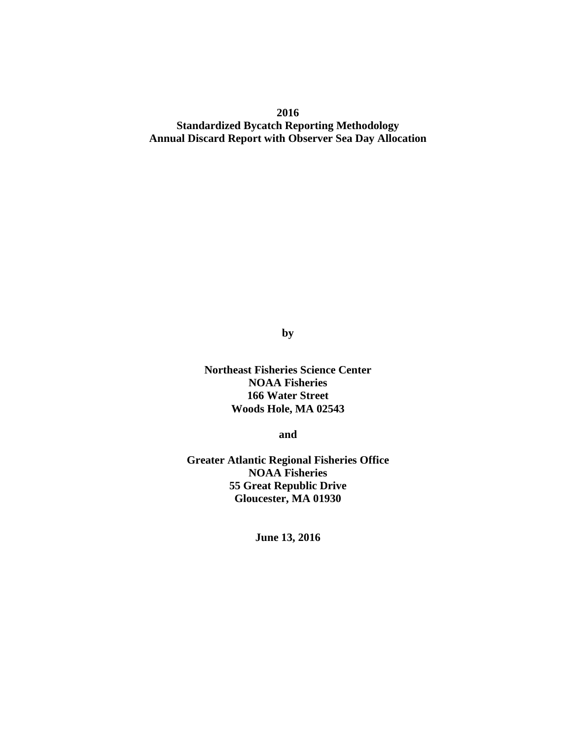**2016 Standardized Bycatch Reporting Methodology Annual Discard Report with Observer Sea Day Allocation**

**by**

**Northeast Fisheries Science Center NOAA Fisheries 166 Water Street Woods Hole, MA 02543**

**and**

**Greater Atlantic Regional Fisheries Office NOAA Fisheries 55 Great Republic Drive Gloucester, MA 01930**

**June 13, 2016**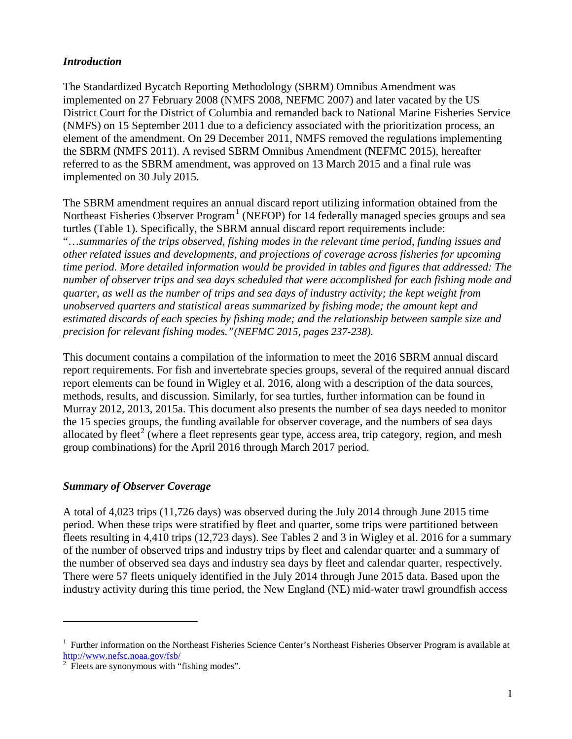## *Introduction*

The Standardized Bycatch Reporting Methodology (SBRM) Omnibus Amendment was implemented on 27 February 2008 (NMFS 2008, NEFMC 2007) and later vacated by the US District Court for the District of Columbia and remanded back to National Marine Fisheries Service (NMFS) on 15 September 2011 due to a deficiency associated with the prioritization process, an element of the amendment. On 29 December 2011, NMFS removed the regulations implementing the SBRM (NMFS 2011). A revised SBRM Omnibus Amendment (NEFMC 2015), hereafter referred to as the SBRM amendment, was approved on 13 March 2015 and a final rule was implemented on 30 July 2015.

The SBRM amendment requires an annual discard report utilizing information obtained from the Northeast Fisheries Observer  $Program<sup>1</sup>$  $Program<sup>1</sup>$  $Program<sup>1</sup>$  (NEFOP) for 14 federally managed species groups and sea turtles (Table 1). Specifically, the SBRM annual discard report requirements include: "…*summaries of the trips observed, fishing modes in the relevant time period, funding issues and other related issues and developments, and projections of coverage across fisheries for upcoming time period. More detailed information would be provided in tables and figures that addressed: The number of observer trips and sea days scheduled that were accomplished for each fishing mode and quarter, as well as the number of trips and sea days of industry activity; the kept weight from unobserved quarters and statistical areas summarized by fishing mode; the amount kept and estimated discards of each species by fishing mode; and the relationship between sample size and precision for relevant fishing modes."(NEFMC 2015, pages 237-238).*

This document contains a compilation of the information to meet the 2016 SBRM annual discard report requirements. For fish and invertebrate species groups, several of the required annual discard report elements can be found in Wigley et al. 2016, along with a description of the data sources, methods, results, and discussion. Similarly, for sea turtles, further information can be found in Murray 2012, 2013, 2015a. This document also presents the number of sea days needed to monitor the 15 species groups, the funding available for observer coverage, and the numbers of sea days allocated by fleet<sup>[2](#page-1-1)</sup> (where a fleet represents gear type, access area, trip category, region, and mesh group combinations) for the April 2016 through March 2017 period.

## *Summary of Observer Coverage*

A total of 4,023 trips (11,726 days) was observed during the July 2014 through June 2015 time period. When these trips were stratified by fleet and quarter, some trips were partitioned between fleets resulting in 4,410 trips (12,723 days). See Tables 2 and 3 in Wigley et al. 2016 for a summary of the number of observed trips and industry trips by fleet and calendar quarter and a summary of the number of observed sea days and industry sea days by fleet and calendar quarter, respectively. There were 57 fleets uniquely identified in the July 2014 through June 2015 data. Based upon the industry activity during this time period, the New England (NE) mid-water trawl groundfish access

<span id="page-1-0"></span><sup>&</sup>lt;sup>1</sup> Further information on the Northeast Fisheries Science Center's Northeast Fisheries Observer Program is available at [http://www.nefsc.noaa.gov/fsb/ 2](http://www.nefsc.noaa.gov/fsb/)

<span id="page-1-1"></span>Fleets are synonymous with "fishing modes".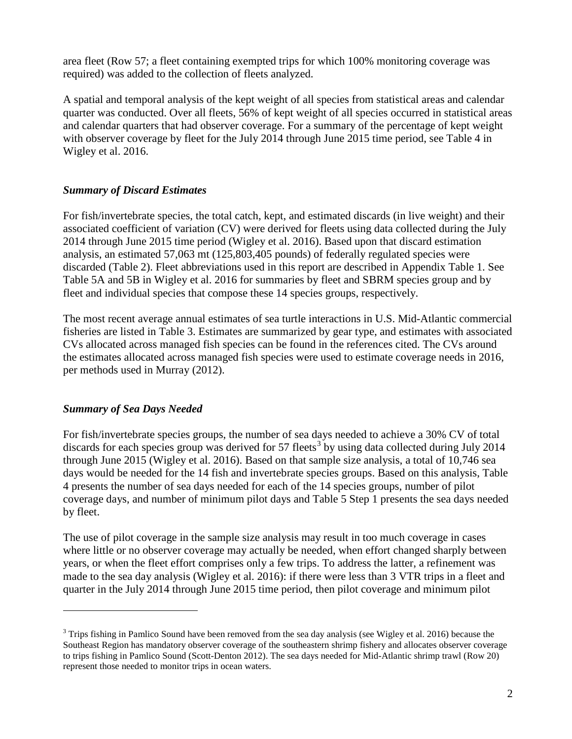area fleet (Row 57; a fleet containing exempted trips for which 100% monitoring coverage was required) was added to the collection of fleets analyzed.

A spatial and temporal analysis of the kept weight of all species from statistical areas and calendar quarter was conducted. Over all fleets, 56% of kept weight of all species occurred in statistical areas and calendar quarters that had observer coverage. For a summary of the percentage of kept weight with observer coverage by fleet for the July 2014 through June 2015 time period, see Table 4 in Wigley et al. 2016.

## *Summary of Discard Estimates*

For fish/invertebrate species, the total catch, kept, and estimated discards (in live weight) and their associated coefficient of variation (CV) were derived for fleets using data collected during the July 2014 through June 2015 time period (Wigley et al. 2016). Based upon that discard estimation analysis, an estimated 57,063 mt (125,803,405 pounds) of federally regulated species were discarded (Table 2). Fleet abbreviations used in this report are described in Appendix Table 1. See Table 5A and 5B in Wigley et al. 2016 for summaries by fleet and SBRM species group and by fleet and individual species that compose these 14 species groups, respectively.

The most recent average annual estimates of sea turtle interactions in U.S. Mid-Atlantic commercial fisheries are listed in Table 3. Estimates are summarized by gear type, and estimates with associated CVs allocated across managed fish species can be found in the references cited. The CVs around the estimates allocated across managed fish species were used to estimate coverage needs in 2016, per methods used in Murray (2012).

## *Summary of Sea Days Needed*

 $\overline{a}$ 

For fish/invertebrate species groups, the number of sea days needed to achieve a 30% CV of total discards for each species group was derived for 57 fleets<sup>[3](#page-2-0)</sup> by using data collected during July 2014 through June 2015 (Wigley et al. 2016). Based on that sample size analysis, a total of 10,746 sea days would be needed for the 14 fish and invertebrate species groups. Based on this analysis, Table 4 presents the number of sea days needed for each of the 14 species groups, number of pilot coverage days, and number of minimum pilot days and Table 5 Step 1 presents the sea days needed by fleet.

The use of pilot coverage in the sample size analysis may result in too much coverage in cases where little or no observer coverage may actually be needed, when effort changed sharply between years, or when the fleet effort comprises only a few trips. To address the latter, a refinement was made to the sea day analysis (Wigley et al. 2016): if there were less than 3 VTR trips in a fleet and quarter in the July 2014 through June 2015 time period, then pilot coverage and minimum pilot

<span id="page-2-0"></span> $3$  Trips fishing in Pamlico Sound have been removed from the sea day analysis (see Wigley et al. 2016) because the Southeast Region has mandatory observer coverage of the southeastern shrimp fishery and allocates observer coverage to trips fishing in Pamlico Sound (Scott-Denton 2012). The sea days needed for Mid-Atlantic shrimp trawl (Row 20) represent those needed to monitor trips in ocean waters.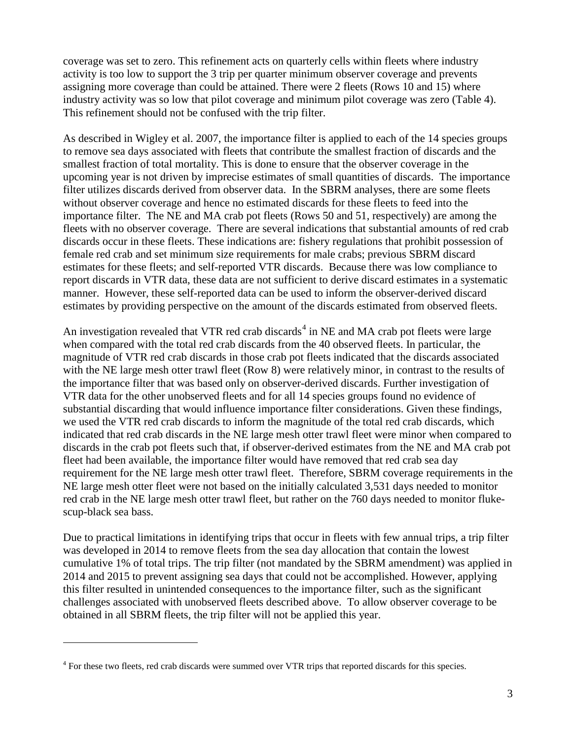coverage was set to zero. This refinement acts on quarterly cells within fleets where industry activity is too low to support the 3 trip per quarter minimum observer coverage and prevents assigning more coverage than could be attained. There were 2 fleets (Rows 10 and 15) where industry activity was so low that pilot coverage and minimum pilot coverage was zero (Table 4). This refinement should not be confused with the trip filter.

As described in Wigley et al. 2007, the importance filter is applied to each of the 14 species groups to remove sea days associated with fleets that contribute the smallest fraction of discards and the smallest fraction of total mortality. This is done to ensure that the observer coverage in the upcoming year is not driven by imprecise estimates of small quantities of discards. The importance filter utilizes discards derived from observer data. In the SBRM analyses, there are some fleets without observer coverage and hence no estimated discards for these fleets to feed into the importance filter. The NE and MA crab pot fleets (Rows 50 and 51, respectively) are among the fleets with no observer coverage. There are several indications that substantial amounts of red crab discards occur in these fleets. These indications are: fishery regulations that prohibit possession of female red crab and set minimum size requirements for male crabs; previous SBRM discard estimates for these fleets; and self-reported VTR discards. Because there was low compliance to report discards in VTR data, these data are not sufficient to derive discard estimates in a systematic manner. However, these self-reported data can be used to inform the observer-derived discard estimates by providing perspective on the amount of the discards estimated from observed fleets.

An investigation revealed that VTR red crab discards<sup>[4](#page-3-0)</sup> in NE and MA crab pot fleets were large when compared with the total red crab discards from the 40 observed fleets. In particular, the magnitude of VTR red crab discards in those crab pot fleets indicated that the discards associated with the NE large mesh otter trawl fleet (Row 8) were relatively minor, in contrast to the results of the importance filter that was based only on observer-derived discards. Further investigation of VTR data for the other unobserved fleets and for all 14 species groups found no evidence of substantial discarding that would influence importance filter considerations. Given these findings, we used the VTR red crab discards to inform the magnitude of the total red crab discards, which indicated that red crab discards in the NE large mesh otter trawl fleet were minor when compared to discards in the crab pot fleets such that, if observer-derived estimates from the NE and MA crab pot fleet had been available, the importance filter would have removed that red crab sea day requirement for the NE large mesh otter trawl fleet. Therefore, SBRM coverage requirements in the NE large mesh otter fleet were not based on the initially calculated 3,531 days needed to monitor red crab in the NE large mesh otter trawl fleet, but rather on the 760 days needed to monitor flukescup-black sea bass.

Due to practical limitations in identifying trips that occur in fleets with few annual trips, a trip filter was developed in 2014 to remove fleets from the sea day allocation that contain the lowest cumulative 1% of total trips. The trip filter (not mandated by the SBRM amendment) was applied in 2014 and 2015 to prevent assigning sea days that could not be accomplished. However, applying this filter resulted in unintended consequences to the importance filter, such as the significant challenges associated with unobserved fleets described above. To allow observer coverage to be obtained in all SBRM fleets, the trip filter will not be applied this year.

<span id="page-3-0"></span><sup>&</sup>lt;sup>4</sup> For these two fleets, red crab discards were summed over VTR trips that reported discards for this species.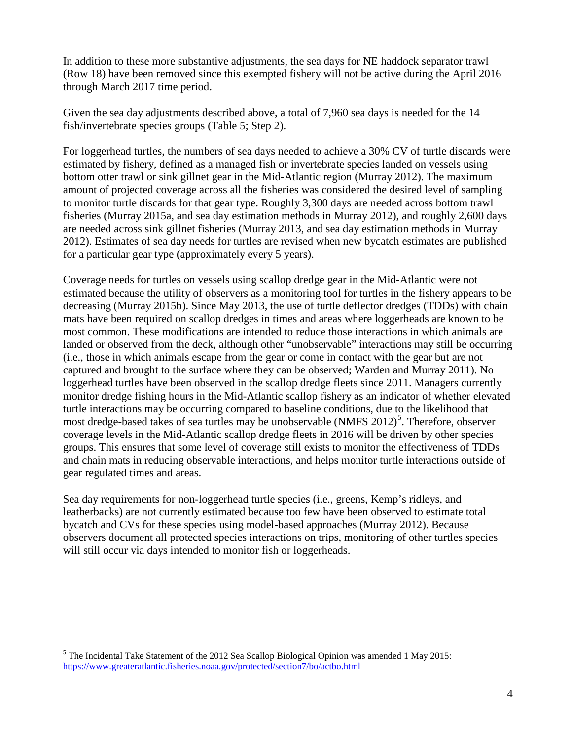In addition to these more substantive adjustments, the sea days for NE haddock separator trawl (Row 18) have been removed since this exempted fishery will not be active during the April 2016 through March 2017 time period.

Given the sea day adjustments described above, a total of 7,960 sea days is needed for the 14 fish/invertebrate species groups (Table 5; Step 2).

For loggerhead turtles, the numbers of sea days needed to achieve a 30% CV of turtle discards were estimated by fishery, defined as a managed fish or invertebrate species landed on vessels using bottom otter trawl or sink gillnet gear in the Mid-Atlantic region (Murray 2012). The maximum amount of projected coverage across all the fisheries was considered the desired level of sampling to monitor turtle discards for that gear type. Roughly 3,300 days are needed across bottom trawl fisheries (Murray 2015a, and sea day estimation methods in Murray 2012), and roughly 2,600 days are needed across sink gillnet fisheries (Murray 2013, and sea day estimation methods in Murray 2012). Estimates of sea day needs for turtles are revised when new bycatch estimates are published for a particular gear type (approximately every 5 years).

Coverage needs for turtles on vessels using scallop dredge gear in the Mid-Atlantic were not estimated because the utility of observers as a monitoring tool for turtles in the fishery appears to be decreasing (Murray 2015b). Since May 2013, the use of turtle deflector dredges (TDDs) with chain mats have been required on scallop dredges in times and areas where loggerheads are known to be most common. These modifications are intended to reduce those interactions in which animals are landed or observed from the deck, although other "unobservable" interactions may still be occurring (i.e., those in which animals escape from the gear or come in contact with the gear but are not captured and brought to the surface where they can be observed; Warden and Murray 2011). No loggerhead turtles have been observed in the scallop dredge fleets since 2011. Managers currently monitor dredge fishing hours in the Mid-Atlantic scallop fishery as an indicator of whether elevated turtle interactions may be occurring compared to baseline conditions, due to the likelihood that most dredge-based takes of sea turtles may be unobservable (NMFS 2012)<sup>[5](#page-4-0)</sup>. Therefore, observer coverage levels in the Mid-Atlantic scallop dredge fleets in 2016 will be driven by other species groups. This ensures that some level of coverage still exists to monitor the effectiveness of TDDs and chain mats in reducing observable interactions, and helps monitor turtle interactions outside of gear regulated times and areas.

Sea day requirements for non-loggerhead turtle species (i.e., greens, Kemp's ridleys, and leatherbacks) are not currently estimated because too few have been observed to estimate total bycatch and CVs for these species using model-based approaches (Murray 2012). Because observers document all protected species interactions on trips, monitoring of other turtles species will still occur via days intended to monitor fish or loggerheads.

<span id="page-4-0"></span><sup>&</sup>lt;sup>5</sup> The Incidental Take Statement of the 2012 Sea Scallop Biological Opinion was amended 1 May 2015: <https://www.greateratlantic.fisheries.noaa.gov/protected/section7/bo/actbo.html>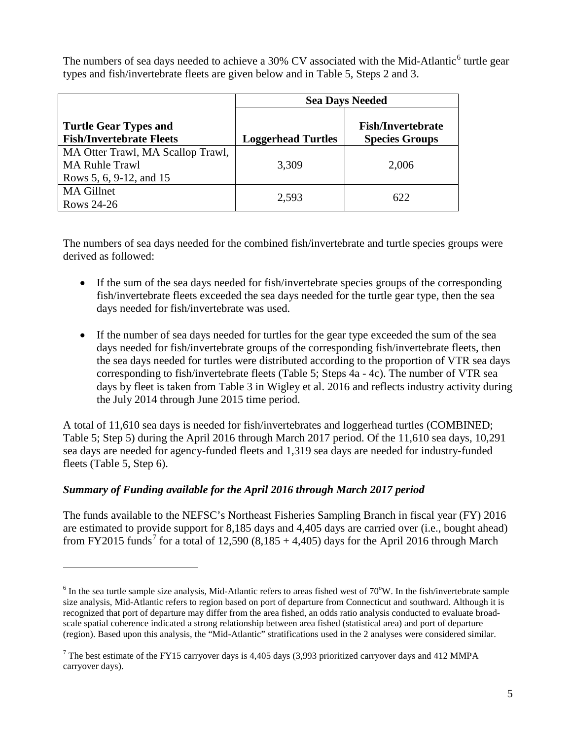The numbers of sea days needed to achieve a 30% CV associated with the Mid-Atlantic<sup>[6](#page-5-0)</sup> turtle gear types and fish/invertebrate fleets are given below and in Table 5, Steps 2 and 3.

|                                                                                       |                           | <b>Sea Days Needed</b>                            |
|---------------------------------------------------------------------------------------|---------------------------|---------------------------------------------------|
| <b>Turtle Gear Types and</b><br><b>Fish/Invertebrate Fleets</b>                       | <b>Loggerhead Turtles</b> | <b>Fish/Invertebrate</b><br><b>Species Groups</b> |
| MA Otter Trawl, MA Scallop Trawl,<br><b>MA Ruhle Trawl</b><br>Rows 5, 6, 9-12, and 15 | 3,309                     | 2,006                                             |
| <b>MA Gillnet</b><br>Rows 24-26                                                       | 2,593                     | 622                                               |

The numbers of sea days needed for the combined fish/invertebrate and turtle species groups were derived as followed:

- If the sum of the sea days needed for fish/invertebrate species groups of the corresponding fish/invertebrate fleets exceeded the sea days needed for the turtle gear type, then the sea days needed for fish/invertebrate was used.
- If the number of sea days needed for turtles for the gear type exceeded the sum of the sea days needed for fish/invertebrate groups of the corresponding fish/invertebrate fleets, then the sea days needed for turtles were distributed according to the proportion of VTR sea days corresponding to fish/invertebrate fleets (Table 5; Steps 4a - 4c). The number of VTR sea days by fleet is taken from Table 3 in Wigley et al. 2016 and reflects industry activity during the July 2014 through June 2015 time period.

A total of 11,610 sea days is needed for fish/invertebrates and loggerhead turtles (COMBINED; Table 5; Step 5) during the April 2016 through March 2017 period. Of the 11,610 sea days, 10,291 sea days are needed for agency-funded fleets and 1,319 sea days are needed for industry-funded fleets (Table 5, Step 6).

# *Summary of Funding available for the April 2016 through March 2017 period*

 $\overline{a}$ 

The funds available to the NEFSC's Northeast Fisheries Sampling Branch in fiscal year (FY) 2016 are estimated to provide support for 8,185 days and 4,405 days are carried over (i.e., bought ahead) from FY2015 funds<sup>[7](#page-5-1)</sup> for a total of 12,590 (8,185 + 4,405) days for the April 2016 through March

<span id="page-5-0"></span> $6$  In the sea turtle sample size analysis, Mid-Atlantic refers to areas fished west of  $70^{\circ}$ W. In the fish/invertebrate sample size analysis, Mid-Atlantic refers to region based on port of departure from Connecticut and southward. Although it is recognized that port of departure may differ from the area fished, an odds ratio analysis conducted to evaluate broadscale spatial coherence indicated a strong relationship between area fished (statistical area) and port of departure (region). Based upon this analysis, the "Mid-Atlantic" stratifications used in the 2 analyses were considered similar.

<span id="page-5-1"></span> $7$  The best estimate of the FY15 carryover days is 4,405 days (3,993 prioritized carryover days and 412 MMPA carryover days).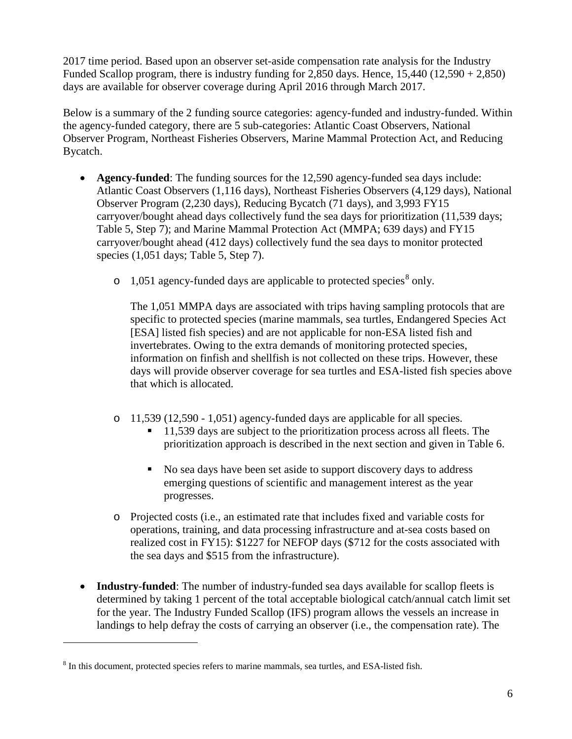2017 time period. Based upon an observer set-aside compensation rate analysis for the Industry Funded Scallop program, there is industry funding for 2,850 days. Hence,  $15,440$  ( $12,590 + 2,850$ ) days are available for observer coverage during April 2016 through March 2017.

Below is a summary of the 2 funding source categories: agency-funded and industry-funded. Within the agency-funded category, there are 5 sub-categories: Atlantic Coast Observers, National Observer Program, Northeast Fisheries Observers, Marine Mammal Protection Act, and Reducing Bycatch.

- **Agency-funded**: The funding sources for the 12,590 agency-funded sea days include: Atlantic Coast Observers (1,116 days), Northeast Fisheries Observers (4,129 days), National Observer Program (2,230 days), Reducing Bycatch (71 days), and 3,993 FY15 carryover/bought ahead days collectively fund the sea days for prioritization (11,539 days; Table 5, Step 7); and Marine Mammal Protection Act (MMPA; 639 days) and FY15 carryover/bought ahead (412 days) collectively fund the sea days to monitor protected species (1,051 days; Table 5, Step 7).
	- $\circ$  1,051 agency-funded days are applicable to protected species<sup>[8](#page-6-0)</sup> only.

The 1,051 MMPA days are associated with trips having sampling protocols that are specific to protected species (marine mammals, sea turtles, Endangered Species Act [ESA] listed fish species) and are not applicable for non-ESA listed fish and invertebrates. Owing to the extra demands of monitoring protected species, information on finfish and shellfish is not collected on these trips. However, these days will provide observer coverage for sea turtles and ESA-listed fish species above that which is allocated.

- o 11,539 (12,590 1,051) agency-funded days are applicable for all species.
	- 11,539 days are subject to the prioritization process across all fleets. The prioritization approach is described in the next section and given in Table 6.
	- No sea days have been set aside to support discovery days to address emerging questions of scientific and management interest as the year progresses.
- o Projected costs (i.e., an estimated rate that includes fixed and variable costs for operations, training, and data processing infrastructure and at-sea costs based on realized cost in FY15): \$1227 for NEFOP days (\$712 for the costs associated with the sea days and \$515 from the infrastructure).
- **Industry-funded**: The number of industry-funded sea days available for scallop fleets is determined by taking 1 percent of the total acceptable biological catch/annual catch limit set for the year. The Industry Funded Scallop (IFS) program allows the vessels an increase in landings to help defray the costs of carrying an observer (i.e., the compensation rate). The

<span id="page-6-0"></span> $8$  In this document, protected species refers to marine mammals, sea turtles, and ESA-listed fish.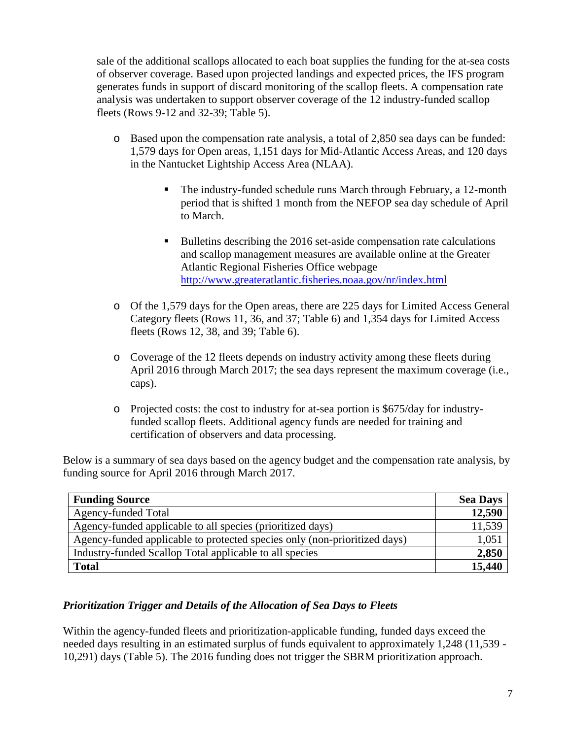sale of the additional scallops allocated to each boat supplies the funding for the at-sea costs of observer coverage. Based upon projected landings and expected prices, the IFS program generates funds in support of discard monitoring of the scallop fleets. A compensation rate analysis was undertaken to support observer coverage of the 12 industry-funded scallop fleets (Rows 9-12 and 32-39; Table 5).

- o Based upon the compensation rate analysis, a total of 2,850 sea days can be funded: 1,579 days for Open areas, 1,151 days for Mid-Atlantic Access Areas, and 120 days in the Nantucket Lightship Access Area (NLAA).
	- The industry-funded schedule runs March through February, a 12-month period that is shifted 1 month from the NEFOP sea day schedule of April to March.
	- Bulletins describing the 2016 set-aside compensation rate calculations and scallop management measures are available online at the Greater Atlantic Regional Fisheries Office webpage <http://www.greateratlantic.fisheries.noaa.gov/nr/index.html>
- o Of the 1,579 days for the Open areas, there are 225 days for Limited Access General Category fleets (Rows 11, 36, and 37; Table 6) and 1,354 days for Limited Access fleets (Rows 12, 38, and 39; Table 6).
- o Coverage of the 12 fleets depends on industry activity among these fleets during April 2016 through March 2017; the sea days represent the maximum coverage (i.e., caps).
- o Projected costs: the cost to industry for at-sea portion is \$675/day for industryfunded scallop fleets. Additional agency funds are needed for training and certification of observers and data processing.

Below is a summary of sea days based on the agency budget and the compensation rate analysis, by funding source for April 2016 through March 2017.

| <b>Funding Source</b>                                                     | <b>Sea Days</b> |
|---------------------------------------------------------------------------|-----------------|
| Agency-funded Total                                                       | 12,590          |
| Agency-funded applicable to all species (prioritized days)                | 11,539          |
| Agency-funded applicable to protected species only (non-prioritized days) | 1,051           |
| Industry-funded Scallop Total applicable to all species                   | 2,850           |
| <b>Total</b>                                                              | 15,440          |

# *Prioritization Trigger and Details of the Allocation of Sea Days to Fleets*

Within the agency-funded fleets and prioritization-applicable funding, funded days exceed the needed days resulting in an estimated surplus of funds equivalent to approximately 1,248 (11,539 - 10,291) days (Table 5). The 2016 funding does not trigger the SBRM prioritization approach.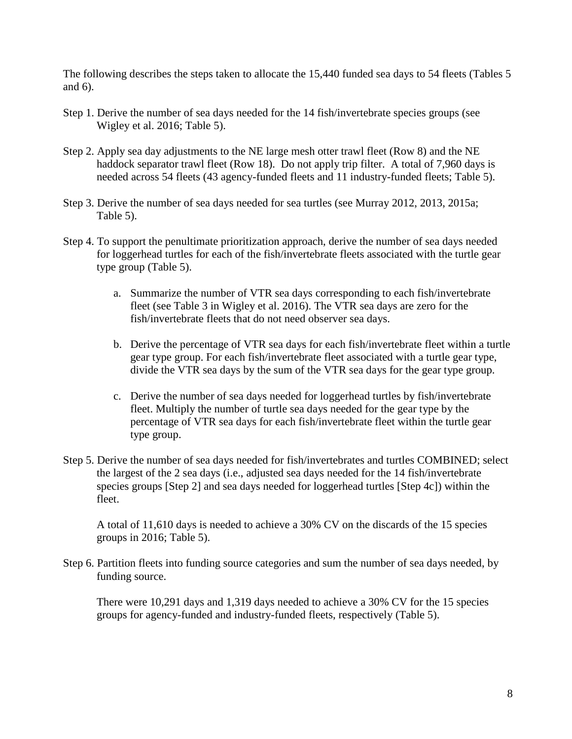The following describes the steps taken to allocate the 15,440 funded sea days to 54 fleets (Tables 5 and 6).

- Step 1. Derive the number of sea days needed for the 14 fish/invertebrate species groups (see Wigley et al. 2016; Table 5).
- Step 2. Apply sea day adjustments to the NE large mesh otter trawl fleet (Row 8) and the NE haddock separator trawl fleet (Row 18). Do not apply trip filter. A total of 7,960 days is needed across 54 fleets (43 agency-funded fleets and 11 industry-funded fleets; Table 5).
- Step 3. Derive the number of sea days needed for sea turtles (see Murray 2012, 2013, 2015a; Table 5).
- Step 4. To support the penultimate prioritization approach, derive the number of sea days needed for loggerhead turtles for each of the fish/invertebrate fleets associated with the turtle gear type group (Table 5).
	- a. Summarize the number of VTR sea days corresponding to each fish/invertebrate fleet (see Table 3 in Wigley et al. 2016). The VTR sea days are zero for the fish/invertebrate fleets that do not need observer sea days.
	- b. Derive the percentage of VTR sea days for each fish/invertebrate fleet within a turtle gear type group. For each fish/invertebrate fleet associated with a turtle gear type, divide the VTR sea days by the sum of the VTR sea days for the gear type group.
	- c. Derive the number of sea days needed for loggerhead turtles by fish/invertebrate fleet. Multiply the number of turtle sea days needed for the gear type by the percentage of VTR sea days for each fish/invertebrate fleet within the turtle gear type group.
- Step 5. Derive the number of sea days needed for fish/invertebrates and turtles COMBINED; select the largest of the 2 sea days (i.e., adjusted sea days needed for the 14 fish/invertebrate species groups [Step 2] and sea days needed for loggerhead turtles [Step 4c]) within the fleet.

A total of 11,610 days is needed to achieve a 30% CV on the discards of the 15 species groups in 2016; Table 5).

Step 6. Partition fleets into funding source categories and sum the number of sea days needed, by funding source.

There were 10,291 days and 1,319 days needed to achieve a 30% CV for the 15 species groups for agency-funded and industry-funded fleets, respectively (Table 5).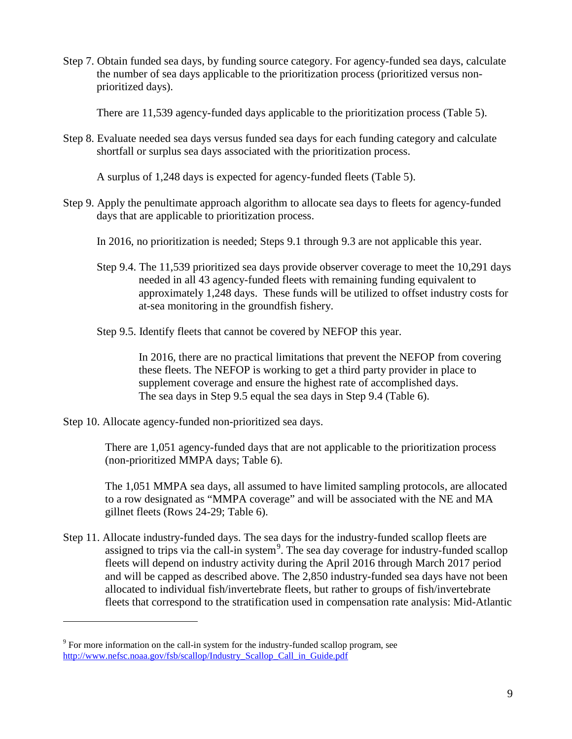Step 7. Obtain funded sea days, by funding source category. For agency-funded sea days, calculate the number of sea days applicable to the prioritization process (prioritized versus nonprioritized days).

There are 11,539 agency-funded days applicable to the prioritization process (Table 5).

Step 8. Evaluate needed sea days versus funded sea days for each funding category and calculate shortfall or surplus sea days associated with the prioritization process.

A surplus of 1,248 days is expected for agency-funded fleets (Table 5).

Step 9. Apply the penultimate approach algorithm to allocate sea days to fleets for agency-funded days that are applicable to prioritization process.

In 2016, no prioritization is needed; Steps 9.1 through 9.3 are not applicable this year.

- Step 9.4. The 11,539 prioritized sea days provide observer coverage to meet the 10,291 days needed in all 43 agency-funded fleets with remaining funding equivalent to approximately 1,248 days. These funds will be utilized to offset industry costs for at-sea monitoring in the groundfish fishery.
- Step 9.5. Identify fleets that cannot be covered by NEFOP this year.

In 2016, there are no practical limitations that prevent the NEFOP from covering these fleets. The NEFOP is working to get a third party provider in place to supplement coverage and ensure the highest rate of accomplished days. The sea days in Step 9.5 equal the sea days in Step 9.4 (Table 6).

Step 10. Allocate agency-funded non-prioritized sea days.

 $\overline{a}$ 

There are 1,051 agency-funded days that are not applicable to the prioritization process (non-prioritized MMPA days; Table 6).

The 1,051 MMPA sea days, all assumed to have limited sampling protocols, are allocated to a row designated as "MMPA coverage" and will be associated with the NE and MA gillnet fleets (Rows 24-29; Table 6).

Step 11. Allocate industry-funded days. The sea days for the industry-funded scallop fleets are assigned to trips via the call-in system<sup>[9](#page-9-0)</sup>. The sea day coverage for industry-funded scallop fleets will depend on industry activity during the April 2016 through March 2017 period and will be capped as described above. The 2,850 industry-funded sea days have not been allocated to individual fish/invertebrate fleets, but rather to groups of fish/invertebrate fleets that correspond to the stratification used in compensation rate analysis: Mid-Atlantic

<span id="page-9-0"></span> $9^9$  For more information on the call-in system for the industry-funded scallop program, see [http://www.nefsc.noaa.gov/fsb/scallop/Industry\\_Scallop\\_Call\\_in\\_Guide.pdf](http://www.nefsc.noaa.gov/fsb/scallop/Industry_Scallop_Call_in_Guide.pdf)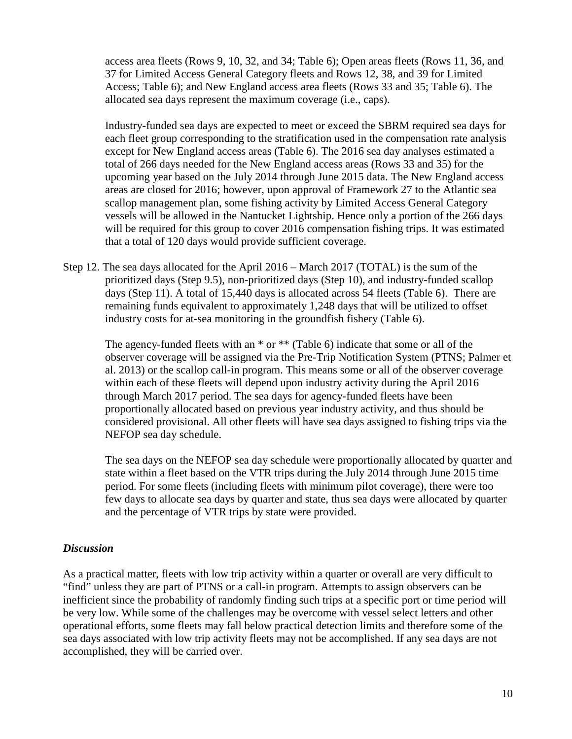access area fleets (Rows 9, 10, 32, and 34; Table 6); Open areas fleets (Rows 11, 36, and 37 for Limited Access General Category fleets and Rows 12, 38, and 39 for Limited Access; Table 6); and New England access area fleets (Rows 33 and 35; Table 6). The allocated sea days represent the maximum coverage (i.e., caps).

Industry-funded sea days are expected to meet or exceed the SBRM required sea days for each fleet group corresponding to the stratification used in the compensation rate analysis except for New England access areas (Table 6). The 2016 sea day analyses estimated a total of 266 days needed for the New England access areas (Rows 33 and 35) for the upcoming year based on the July 2014 through June 2015 data. The New England access areas are closed for 2016; however, upon approval of Framework 27 to the Atlantic sea scallop management plan, some fishing activity by Limited Access General Category vessels will be allowed in the Nantucket Lightship. Hence only a portion of the 266 days will be required for this group to cover 2016 compensation fishing trips. It was estimated that a total of 120 days would provide sufficient coverage.

Step 12. The sea days allocated for the April 2016 – March 2017 (TOTAL) is the sum of the prioritized days (Step 9.5), non-prioritized days (Step 10), and industry-funded scallop days (Step 11). A total of 15,440 days is allocated across 54 fleets (Table 6). There are remaining funds equivalent to approximately 1,248 days that will be utilized to offset industry costs for at-sea monitoring in the groundfish fishery (Table 6).

The agency-funded fleets with an  $*$  or  $**$  (Table 6) indicate that some or all of the observer coverage will be assigned via the Pre-Trip Notification System (PTNS; Palmer et al. 2013) or the scallop call-in program. This means some or all of the observer coverage within each of these fleets will depend upon industry activity during the April 2016 through March 2017 period. The sea days for agency-funded fleets have been proportionally allocated based on previous year industry activity, and thus should be considered provisional. All other fleets will have sea days assigned to fishing trips via the NEFOP sea day schedule.

The sea days on the NEFOP sea day schedule were proportionally allocated by quarter and state within a fleet based on the VTR trips during the July 2014 through June 2015 time period. For some fleets (including fleets with minimum pilot coverage), there were too few days to allocate sea days by quarter and state, thus sea days were allocated by quarter and the percentage of VTR trips by state were provided.

### *Discussion*

As a practical matter, fleets with low trip activity within a quarter or overall are very difficult to "find" unless they are part of PTNS or a call-in program. Attempts to assign observers can be inefficient since the probability of randomly finding such trips at a specific port or time period will be very low. While some of the challenges may be overcome with vessel select letters and other operational efforts, some fleets may fall below practical detection limits and therefore some of the sea days associated with low trip activity fleets may not be accomplished. If any sea days are not accomplished, they will be carried over.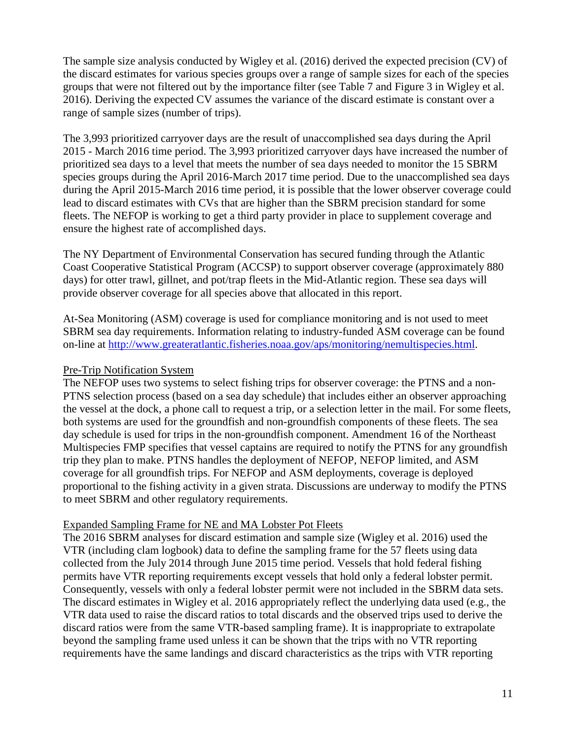The sample size analysis conducted by Wigley et al. (2016) derived the expected precision (CV) of the discard estimates for various species groups over a range of sample sizes for each of the species groups that were not filtered out by the importance filter (see Table 7 and Figure 3 in Wigley et al. 2016). Deriving the expected CV assumes the variance of the discard estimate is constant over a range of sample sizes (number of trips).

The 3,993 prioritized carryover days are the result of unaccomplished sea days during the April 2015 - March 2016 time period. The 3,993 prioritized carryover days have increased the number of prioritized sea days to a level that meets the number of sea days needed to monitor the 15 SBRM species groups during the April 2016-March 2017 time period. Due to the unaccomplished sea days during the April 2015-March 2016 time period, it is possible that the lower observer coverage could lead to discard estimates with CVs that are higher than the SBRM precision standard for some fleets. The NEFOP is working to get a third party provider in place to supplement coverage and ensure the highest rate of accomplished days.

The NY Department of Environmental Conservation has secured funding through the Atlantic Coast Cooperative Statistical Program (ACCSP) to support observer coverage (approximately 880 days) for otter trawl, gillnet, and pot/trap fleets in the Mid-Atlantic region. These sea days will provide observer coverage for all species above that allocated in this report.

At-Sea Monitoring (ASM) coverage is used for compliance monitoring and is not used to meet SBRM sea day requirements. Information relating to industry-funded ASM coverage can be found on-line at [http://www.greateratlantic.fisheries.noaa.gov/aps/monitoring/nemultispecies.html.](http://www.greateratlantic.fisheries.noaa.gov/aps/monitoring/nemultispecies.html)

## Pre-Trip Notification System

The NEFOP uses two systems to select fishing trips for observer coverage: the PTNS and a non-PTNS selection process (based on a sea day schedule) that includes either an observer approaching the vessel at the dock, a phone call to request a trip, or a selection letter in the mail. For some fleets, both systems are used for the groundfish and non-groundfish components of these fleets. The sea day schedule is used for trips in the non-groundfish component. Amendment 16 of the Northeast Multispecies FMP specifies that vessel captains are required to notify the PTNS for any groundfish trip they plan to make. PTNS handles the deployment of NEFOP, NEFOP limited, and ASM coverage for all groundfish trips. For NEFOP and ASM deployments, coverage is deployed proportional to the fishing activity in a given strata. Discussions are underway to modify the PTNS to meet SBRM and other regulatory requirements.

### Expanded Sampling Frame for NE and MA Lobster Pot Fleets

The 2016 SBRM analyses for discard estimation and sample size (Wigley et al. 2016) used the VTR (including clam logbook) data to define the sampling frame for the 57 fleets using data collected from the July 2014 through June 2015 time period. Vessels that hold federal fishing permits have VTR reporting requirements except vessels that hold only a federal lobster permit. Consequently, vessels with only a federal lobster permit were not included in the SBRM data sets. The discard estimates in Wigley et al. 2016 appropriately reflect the underlying data used (e.g., the VTR data used to raise the discard ratios to total discards and the observed trips used to derive the discard ratios were from the same VTR-based sampling frame). It is inappropriate to extrapolate beyond the sampling frame used unless it can be shown that the trips with no VTR reporting requirements have the same landings and discard characteristics as the trips with VTR reporting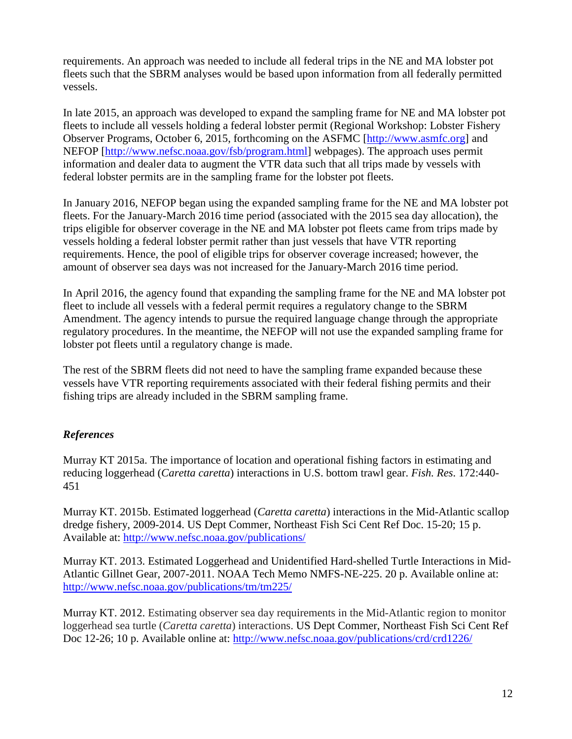requirements. An approach was needed to include all federal trips in the NE and MA lobster pot fleets such that the SBRM analyses would be based upon information from all federally permitted vessels.

In late 2015, an approach was developed to expand the sampling frame for NE and MA lobster pot fleets to include all vessels holding a federal lobster permit (Regional Workshop: Lobster Fishery Observer Programs, October 6, 2015, forthcoming on the ASFMC [\[http://www.asmfc.org\]](http://www.asmfc.org/) and NEFOP [\[http://www.nefsc.noaa.gov/fsb/program.html\]](http://www.nefsc.noaa.gov/fsb/program.html) webpages). The approach uses permit information and dealer data to augment the VTR data such that all trips made by vessels with federal lobster permits are in the sampling frame for the lobster pot fleets.

In January 2016, NEFOP began using the expanded sampling frame for the NE and MA lobster pot fleets. For the January-March 2016 time period (associated with the 2015 sea day allocation), the trips eligible for observer coverage in the NE and MA lobster pot fleets came from trips made by vessels holding a federal lobster permit rather than just vessels that have VTR reporting requirements. Hence, the pool of eligible trips for observer coverage increased; however, the amount of observer sea days was not increased for the January-March 2016 time period.

In April 2016, the agency found that expanding the sampling frame for the NE and MA lobster pot fleet to include all vessels with a federal permit requires a regulatory change to the SBRM Amendment. The agency intends to pursue the required language change through the appropriate regulatory procedures. In the meantime, the NEFOP will not use the expanded sampling frame for lobster pot fleets until a regulatory change is made.

The rest of the SBRM fleets did not need to have the sampling frame expanded because these vessels have VTR reporting requirements associated with their federal fishing permits and their fishing trips are already included in the SBRM sampling frame.

# *References*

Murray KT 2015a. The importance of location and operational fishing factors in estimating and reducing loggerhead (*Caretta caretta*) interactions in U.S. bottom trawl gear. *Fish. Res*. 172:440- 451

Murray KT. 2015b. Estimated loggerhead (*Caretta caretta*) interactions in the Mid-Atlantic scallop dredge fishery, 2009-2014. US Dept Commer, Northeast Fish Sci Cent Ref Doc. 15-20; 15 p. Available at:<http://www.nefsc.noaa.gov/publications/>

Murray KT. 2013. Estimated Loggerhead and Unidentified Hard-shelled Turtle Interactions in Mid-Atlantic Gillnet Gear, 2007-2011. NOAA Tech Memo NMFS-NE-225. 20 p. Available online at: <http://www.nefsc.noaa.gov/publications/tm/tm225/>

Murray KT. 2012. Estimating observer sea day requirements in the Mid-Atlantic region to monitor loggerhead sea turtle (*Caretta caretta*) interactions. US Dept Commer, Northeast Fish Sci Cent Ref Doc 12-26; 10 p. Available online at:<http://www.nefsc.noaa.gov/publications/crd/crd1226/>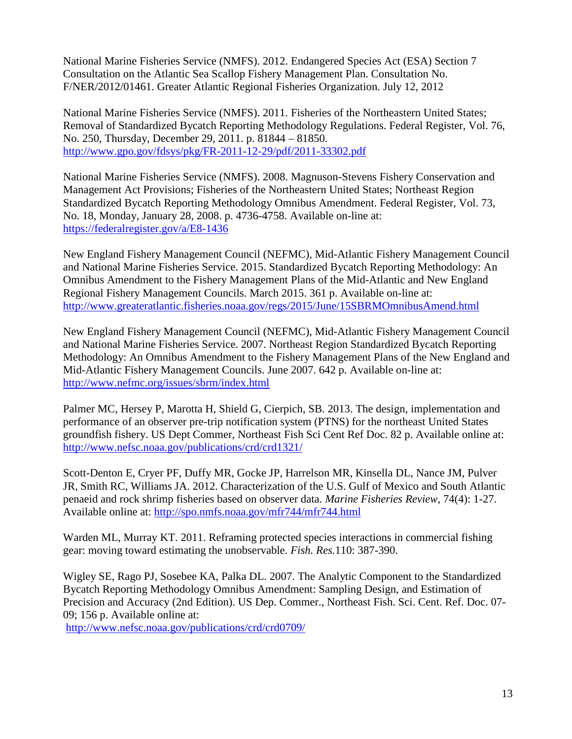National Marine Fisheries Service (NMFS). 2012. Endangered Species Act (ESA) Section 7 Consultation on the Atlantic Sea Scallop Fishery Management Plan. Consultation No. F/NER/2012/01461. Greater Atlantic Regional Fisheries Organization. July 12, 2012

National Marine Fisheries Service (NMFS). 2011. Fisheries of the Northeastern United States; Removal of Standardized Bycatch Reporting Methodology Regulations. Federal Register, Vol. 76, No. 250, Thursday, December 29, 2011. p. 81844 – 81850. <http://www.gpo.gov/fdsys/pkg/FR-2011-12-29/pdf/2011-33302.pdf>

National Marine Fisheries Service (NMFS). 2008. Magnuson-Stevens Fishery Conservation and Management Act Provisions; Fisheries of the Northeastern United States; Northeast Region Standardized Bycatch Reporting Methodology Omnibus Amendment. Federal Register, Vol. 73, No. 18, Monday, January 28, 2008. p. 4736-4758. Available on-line at: <https://federalregister.gov/a/E8-1436>

New England Fishery Management Council (NEFMC), Mid-Atlantic Fishery Management Council and National Marine Fisheries Service. 2015. Standardized Bycatch Reporting Methodology: An Omnibus Amendment to the Fishery Management Plans of the Mid-Atlantic and New England Regional Fishery Management Councils. March 2015. 361 p. Available on-line at: <http://www.greateratlantic.fisheries.noaa.gov/regs/2015/June/15SBRMOmnibusAmend.html>

New England Fishery Management Council (NEFMC), Mid-Atlantic Fishery Management Council and National Marine Fisheries Service. 2007. Northeast Region Standardized Bycatch Reporting Methodology: An Omnibus Amendment to the Fishery Management Plans of the New England and Mid-Atlantic Fishery Management Councils. June 2007. 642 p. Available on-line at: <http://www.nefmc.org/issues/sbrm/index.html>

Palmer MC, Hersey P, Marotta H, Shield G, Cierpich, SB. 2013. The design, implementation and performance of an observer pre-trip notification system (PTNS) for the northeast United States groundfish fishery. US Dept Commer, Northeast Fish Sci Cent Ref Doc. 82 p. Available online at: <http://www.nefsc.noaa.gov/publications/crd/crd1321/>

Scott-Denton E, Cryer PF, Duffy MR, Gocke JP, Harrelson MR, Kinsella DL, Nance JM, Pulver JR, Smith RC, Williams JA. 2012. Characterization of the U.S. Gulf of Mexico and South Atlantic penaeid and rock shrimp fisheries based on observer data. *Marine Fisheries Review*, 74(4): 1-27. Available online at: <http://spo.nmfs.noaa.gov/mfr744/mfr744.html>

Warden ML, Murray KT. 2011. Reframing protected species interactions in commercial fishing gear: moving toward estimating the unobservable. *Fish. Res.*110: 387-390.

Wigley SE, Rago PJ, Sosebee KA, Palka DL. 2007. The Analytic Component to the Standardized Bycatch Reporting Methodology Omnibus Amendment: Sampling Design, and Estimation of Precision and Accuracy (2nd Edition). US Dep. Commer., Northeast Fish. Sci. Cent. Ref. Doc. 07- 09; 156 p. Available online at:

<http://www.nefsc.noaa.gov/publications/crd/crd0709/>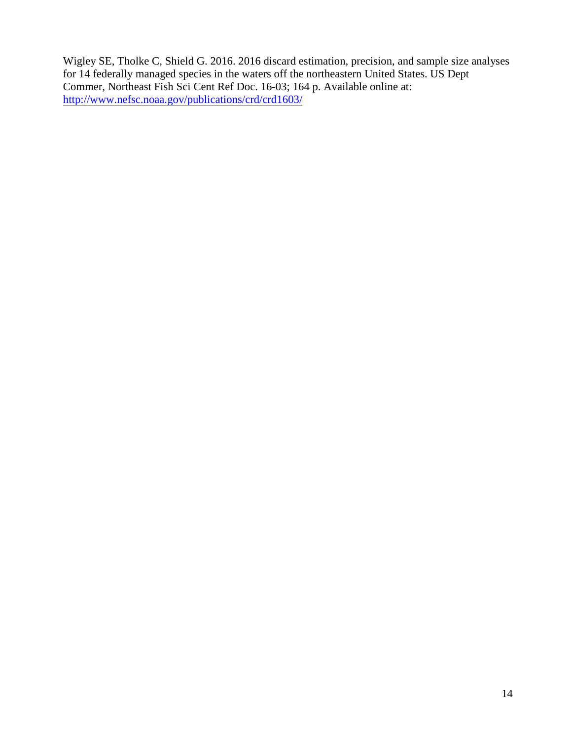Wigley SE, Tholke C, Shield G. 2016. 2016 discard estimation, precision, and sample size analyses for 14 federally managed species in the waters off the northeastern United States. US Dept Commer, Northeast Fish Sci Cent Ref Doc. 16-03; 164 p. Available online at: <http://www.nefsc.noaa.gov/publications/crd/crd1603/>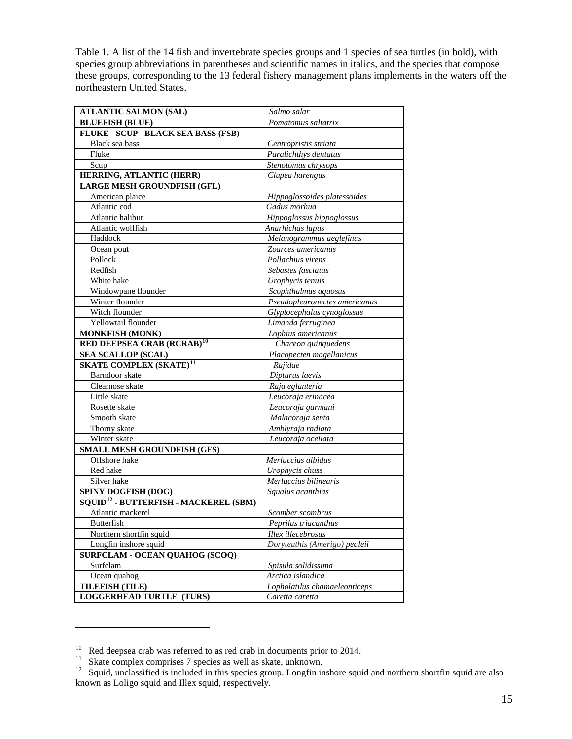Table 1. A list of the 14 fish and invertebrate species groups and 1 species of sea turtles (in bold), with species group abbreviations in parentheses and scientific names in italics, and the species that compose these groups, corresponding to the 13 federal fishery management plans implements in the waters off the northeastern United States.

| <b>ATLANTIC SALMON (SAL)</b>                      | Salmo salar                   |
|---------------------------------------------------|-------------------------------|
| <b>BLUEFISH (BLUE)</b>                            | Pomatomus saltatrix           |
| FLUKE - SCUP - BLACK SEA BASS (FSB)               |                               |
| Black sea bass                                    | Centropristis striata         |
| Fluke                                             | Paralichthys dentatus         |
| Scup                                              | Stenotomus chrysops           |
| HERRING, ATLANTIC (HERR)                          | Clupea harengus               |
| LARGE MESH GROUNDFISH (GFL)                       |                               |
| American plaice                                   | Hippoglossoides platessoides  |
| Atlantic cod                                      | Gadus morhua                  |
| Atlantic halibut                                  | Hippoglossus hippoglossus     |
| Atlantic wolffish                                 | Anarhichas lupus              |
| Haddock                                           | Melanogrammus aeglefinus      |
| Ocean pout                                        | Zoarces americanus            |
| Pollock                                           | Pollachius virens             |
| Redfish                                           | Sebastes fasciatus            |
| White hake                                        | Urophycis tenuis              |
| Windowpane flounder                               | Scophthalmus aquosus          |
| Winter flounder                                   | Pseudopleuronectes americanus |
| Witch flounder                                    | Glyptocephalus cynoglossus    |
| Yellowtail flounder                               | Limanda ferruginea            |
| <b>MONKFISH (MONK)</b>                            | Lophius americanus            |
| RED DEEPSEA CRAB (RCRAB) <sup>10</sup>            | Chaceon quinquedens           |
| <b>SEA SCALLOP (SCAL)</b>                         | Placopecten magellanicus      |
| <b>SKATE COMPLEX (SKATE)</b> <sup>11</sup>        | Rajidae                       |
| Barndoor skate                                    | Dipturus laevis               |
| Clearnose skate                                   | Raja eglanteria               |
| Little skate                                      | Leucoraja erinacea            |
| Rosette skate                                     | Leucoraja garmani             |
| Smooth skate                                      | Malacoraja senta              |
| Thorny skate                                      | Amblyraja radiata             |
| Winter skate                                      | Leucoraja ocellata            |
| SMALL MESH GROUNDFISH (GFS)                       |                               |
| Offshore hake                                     | Merluccius albidus            |
| Red hake                                          | Urophycis chuss               |
| Silver hake                                       | Merluccius bilinearis         |
| <b>SPINY DOGFISH (DOG)</b>                        | Squalus acanthias             |
| SQUID <sup>12</sup> - BUTTERFISH - MACKEREL (SBM) |                               |
| Atlantic mackerel                                 | Scomber scombrus              |
| Butterfish                                        | Peprilus triacanthus          |
| Northern shortfin squid                           | Illex illecebrosus            |
| Longfin inshore squid                             | Doryteuthis (Amerigo) pealeii |
| <b>SURFCLAM - OCEAN OUAHOG (SCOO)</b>             |                               |
| Surfclam                                          | Spisula solidissima           |
| Ocean quahog                                      | Arctica islandica             |
| TILEFISH (TILE)                                   | Lopholatilus chamaeleonticeps |
| <b>LOGGERHEAD TURTLE (TURS)</b>                   | Caretta caretta               |

<span id="page-15-2"></span>

<span id="page-15-1"></span><span id="page-15-0"></span><sup>&</sup>lt;sup>10</sup> Red deepsea crab was referred to as red crab in documents prior to 2014.<br><sup>11</sup> Skate complex comprises 7 species as well as skate, unknown.<br><sup>12</sup> Squid, unclassified is included in this species group. Longfin inshore s known as Loligo squid and Illex squid, respectively.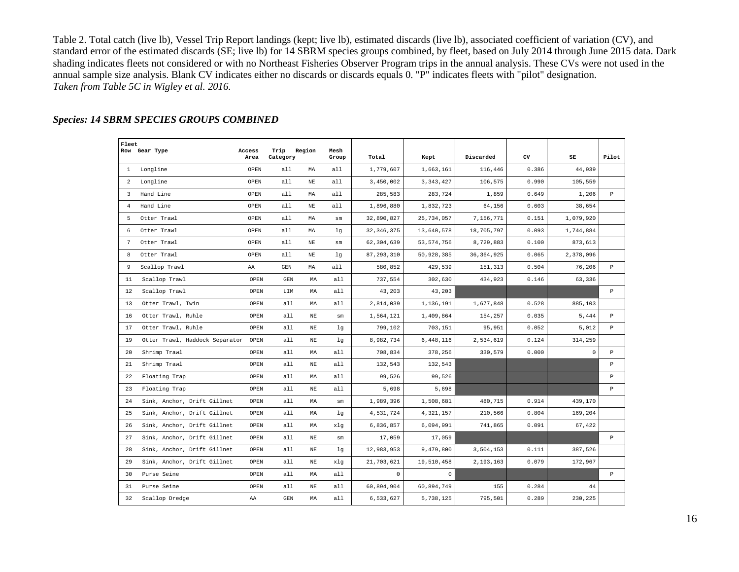Table 2. Total catch (live lb), Vessel Trip Report landings (kept; live lb), estimated discards (live lb), associated coefficient of variation (CV), and standard error of the estimated discards (SE; live lb) for 14 SBRM species groups combined, by fleet, based on July 2014 through June 2015 data. Dark shading indicates fleets not considered or with no Northeast Fisheries Observer Program trips in the annual analysis. These CVs were not used in the annual sample size analysis. Blank CV indicates either no discards or discards equals 0. "P" indicates fleets with "pilot" designation. *Taken from Table 5C in Wigley et al. 2016.*

| Fleet           | Row Gear Type                       | Access | Trip                    | Region      | Mesh  |              |              |              |       |             |              |
|-----------------|-------------------------------------|--------|-------------------------|-------------|-------|--------------|--------------|--------------|-------|-------------|--------------|
|                 |                                     | Area   | Category                |             | Group | Total        | Kept         | Discarded    | cv    | SE          | Pilot        |
|                 | 1 Longline                          | OPEN   | all                     | MA          | a11   | 1,779,607    | 1,663,161    | 116,446      | 0.386 | 44,939      |              |
| $\overline{a}$  | Longline                            | OPEN   | a11                     | NE          | a11   | 3,450,002    | 3, 343, 427  | 106,575      | 0.990 | 105,559     |              |
| $\overline{3}$  | Hand Line                           | OPEN   | a11                     | MA          | a11   | 285,583      | 283,724      | 1,859        | 0.649 | 1,206       | $\, {\bf p}$ |
| $\overline{4}$  | Hand Line                           | OPEN   | a11                     | NE          | a11   | 1,896,880    | 1,832,723    | 64,156       | 0.603 | 38,654      |              |
| 5               | Otter Trawl                         | OPEN   | a11                     | MA          | sm    | 32,890,827   | 25,734,057   | 7,156,771    | 0.151 | 1,079,920   |              |
| 6               | Otter Trawl                         | OPEN   | a11                     | МA          | lq    | 32, 346, 375 | 13,640,578   | 18,705,797   | 0.093 | 1,744,884   |              |
| $7\overline{ }$ | Otter Trawl                         | OPEN   | all                     | $_{\rm NE}$ | sm    | 62,304,639   | 53, 574, 756 | 8,729,883    | 0.100 | 873,613     |              |
| 8               | Otter Trawl                         | OPEN   | all                     | NE          | lq    | 87, 293, 310 | 50,928,385   | 36, 364, 925 | 0.065 | 2,378,096   |              |
| 9               | Scallop Trawl                       | AA     | $\mathop{\mathrm{GEN}}$ | МA          | a11   | 580,852      | 429,539      | 151,313      | 0.504 | 76,206      | $\, {\bf p}$ |
| 11              | Scallop Trawl                       | OPEN   | GEN                     | MA          | a11   | 737,554      | 302,630      | 434,923      | 0.146 | 63,336      |              |
| 12              | Scallop Trawl                       | OPEN   | LIM                     | MA          | a11   | 43,203       | 43,203       |              |       |             | $\, {\bf p}$ |
| 13              | Otter Trawl, Twin                   | OPEN   | all                     | MA          | a11   | 2,814,039    | 1,136,191    | 1,677,848    | 0.528 | 885,103     |              |
| 16              | Otter Trawl, Ruhle                  | OPEN   | all                     | NE          | sm    | 1,564,121    | 1,409,864    | 154,257      | 0.035 | 5,444       | P            |
| 17              | Otter Trawl, Ruhle                  | OPEN   | all                     | NE          | lq    | 799,102      | 703,151      | 95,951       | 0.052 | 5,012       | $\mathbf{P}$ |
| 19              | Otter Trawl, Haddock Separator OPEN |        | all                     | NE          | lq    | 8,982,734    | 6,448,116    | 2,534,619    | 0.124 | 314,259     |              |
| 20              | Shrimp Trawl                        | OPEN   | all                     | МA          | all   | 708,834      | 378,256      | 330,579      | 0.000 | $\mathbf 0$ | $\mathbb{P}$ |
| 21              | Shrimp Trawl                        | OPEN   | all                     | $_{\rm NE}$ | all   | 132,543      | 132,543      |              |       |             | $\, {\bf p}$ |
| 22              | Floating Trap                       | OPEN   | all                     | MA          | all   | 99,526       | 99,526       |              |       |             | $\, {\bf P}$ |
| 23              | Floating Trap                       | OPEN   | all                     | NΕ          | all   | 5,698        | 5,698        |              |       |             | $\mathbb{P}$ |
| 24              | Sink, Anchor, Drift Gillnet         | OPEN   | all                     | MA          | sm    | 1,989,396    | 1,508,681    | 480,715      | 0.914 | 439,170     |              |
| 25              | Sink, Anchor, Drift Gillnet         | OPEN   | a11                     | MA          | lq    | 4,531,724    | 4,321,157    | 210,566      | 0.804 | 169,204     |              |
| 26              | Sink, Anchor, Drift Gillnet         | OPEN   | a11                     | MA          | xlg   | 6,836,857    | 6,094,991    | 741,865      | 0.091 | 67,422      |              |
| 27              | Sink, Anchor, Drift Gillnet         | OPEN   | a11                     | NE          | sm    | 17,059       | 17,059       |              |       |             | $\, {\bf p}$ |
| 28              | Sink, Anchor, Drift Gillnet         | OPEN   | all                     | NE          | lq    | 12,983,953   | 9,479,800    | 3,504,153    | 0.111 | 387,526     |              |
| 29              | Sink, Anchor, Drift Gillnet         | OPEN   | all                     | NΕ          | xla   | 21,703,621   | 19,510,458   | 2,193,163    | 0.079 | 172,967     |              |
| 30              | Purse Seine                         | OPEN   | all                     | МA          | all.  | $\mathbf 0$  | $\circ$      |              |       |             | P            |
| 31              | Purse Seine                         | OPEN   | all                     | ΝE          | all   | 60,894,904   | 60,894,749   | 155          | 0.284 | 44          |              |
| 32              | Scallop Dredge                      | AA     | GEN                     | MA          | a11   | 6,533,627    | 5,738,125    | 795,501      | 0.289 | 230,225     |              |

#### *Species: 14 SBRM SPECIES GROUPS COMBINED*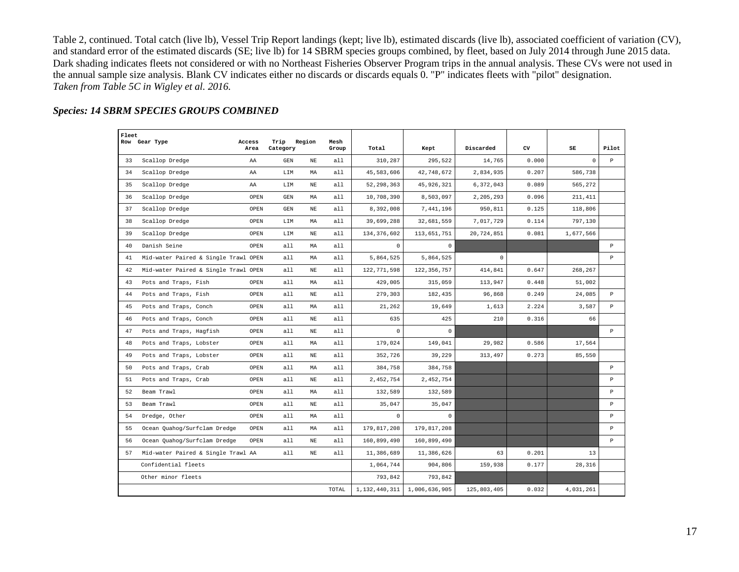Table 2, continued. Total catch (live lb), Vessel Trip Report landings (kept; live lb), estimated discards (live lb), associated coefficient of variation (CV), and standard error of the estimated discards (SE; live lb) for 14 SBRM species groups combined, by fleet, based on July 2014 through June 2015 data. Dark shading indicates fleets not considered or with no Northeast Fisheries Observer Program trips in the annual analysis. These CVs were not used in the annual sample size analysis. Blank CV indicates either no discards or discards equals 0. "P" indicates fleets with "pilot" designation. *Taken from Table 5C in Wigley et al. 2016.*

#### *Species: 14 SBRM SPECIES GROUPS COMBINED*

| Fleet |                                      |                |                  |             |               |               |               |             |       |           |              |
|-------|--------------------------------------|----------------|------------------|-------------|---------------|---------------|---------------|-------------|-------|-----------|--------------|
|       | Row Gear Type                        | Access<br>Area | Trip<br>Category | Region      | Mesh<br>Group | Total         | Kept          | Discarded   | CV    | SE        | Pilot        |
| 33    | Scallop Dredge                       | AA             | GEN              | $_{\rm NE}$ | all           | 310,287       | 295,522       | 14,765      | 0.000 | $\circ$   | $\, {\bf p}$ |
| 34    | Scallop Dredge                       | AA             | LIM              | МA          | all           | 45,583,606    | 42,748,672    | 2,834,935   | 0.207 | 586,738   |              |
| 35    | Scallop Dredge                       | AA             | LIM              | NΕ          | all           | 52, 298, 363  | 45, 926, 321  | 6,372,043   | 0.089 | 565,272   |              |
| 36    | Scallop Dredge                       | OPEN           | GEN              | MA          | all           | 10,708,390    | 8,503,097     | 2,205,293   | 0.096 | 211, 411  |              |
| 37    | Scallop Dredge                       | OPEN           | GEN              | $_{\rm NE}$ | a11           | 8,392,008     | 7,441,196     | 950,811     | 0.125 | 118,806   |              |
| 38    | Scallop Dredge                       | OPEN           | LIM              | MA          | all           | 39,699,288    | 32,681,559    | 7,017,729   | 0.114 | 797,130   |              |
| 39    | Scallop Dredge                       | OPEN           | LIM              | NΕ          | all           | 134, 376, 602 | 113,651,751   | 20,724,851  | 0.081 | 1,677,566 |              |
| 40    | Danish Seine                         | OPEN           | a11              | МA          | all           | $\Omega$      | $\Omega$      |             |       |           | $\, {\bf p}$ |
| 41    | Mid-water Paired & Single Trawl OPEN |                | a11              | MA          | all           | 5,864,525     | 5,864,525     | $\mathbf 0$ |       |           | $\, {\bf p}$ |
| 42    | Mid-water Paired & Single Trawl OPEN |                | a11              | $_{\rm NE}$ | a11           | 122,771,598   | 122, 356, 757 | 414,841     | 0.647 | 268,267   |              |
| 43    | Pots and Traps, Fish                 | OPEN           | a11              | MA          | a11           | 429,005       | 315,059       | 113,947     | 0.448 | 51,002    |              |
| 44    | Pots and Traps, Fish                 | OPEN           | a11              | NE          | a11           | 279,303       | 182,435       | 96,868      | 0.249 | 24,085    | $\mathbb{P}$ |
| 45    | Pots and Traps, Conch                | OPEN           | a11              | MA          | all           | 21,262        | 19,649        | 1,613       | 2.224 | 3,587     | $\mathbb{P}$ |
| 46    | Pots and Traps, Conch                | OPEN           | a11              | $_{\rm NE}$ | a11           | 635           | 425           | 210         | 0.316 | 66        |              |
| 47    | Pots and Traps, Hagfish              | OPEN           | a11              | NΕ          | all           | $\Omega$      | $\mathbf 0$   |             |       |           | $\mathbf{P}$ |
| 48    | Pots and Traps, Lobster              | OPEN           | a11              | MA          | a11           | 179,024       | 149,041       | 29,982      | 0.586 | 17,564    |              |
| 49    | Pots and Traps, Lobster              | OPEN           | a11              | NE          | a11           | 352,726       | 39,229        | 313,497     | 0.273 | 85,550    |              |
| 50    | Pots and Traps, Crab                 | OPEN           | a11              | MA          | all           | 384,758       | 384,758       |             |       |           | $\, {\bf p}$ |
| 51    | Pots and Traps, Crab                 | OPEN           | a11              | NΕ          | a11           | 2,452,754     | 2,452,754     |             |       |           | $\mathbb{P}$ |
| 52    | Beam Trawl                           | OPEN           | a11              | МA          | all           | 132,589       | 132,589       |             |       |           | $\, {\bf p}$ |
| 53    | Beam Trawl                           | OPEN           | a11              | NE          | a11           | 35,047        | 35,047        |             |       |           | $\, {\bf p}$ |
| 54    | Dredge, Other                        | OPEN           | a11              | MA          | all           | $\circ$       | $\circ$       |             |       |           | $\, {\bf p}$ |
| 55    | Ocean Quahoq/Surfclam Dredge         | OPEN           | a11              | МA          | a11           | 179,817,208   | 179,817,208   |             |       |           | P            |
| 56    | Ocean Quahog/Surfclam Dredge         | OPEN           | a11              | NE          | all           | 160,899,490   | 160,899,490   |             |       |           | $\, {\bf p}$ |
| 57    | Mid-water Paired & Single Trawl AA   |                | a11              | NE          | a11           | 11,386,689    | 11,386,626    | 63          | 0.201 | 13        |              |
|       | Confidential fleets                  |                |                  |             |               | 1,064,744     | 904,806       | 159,938     | 0.177 | 28,316    |              |
|       | Other minor fleets                   |                |                  |             |               | 793,842       | 793,842       |             |       |           |              |
|       |                                      |                |                  |             | TOTAL         | 1,132,440,311 | 1,006,636,905 | 125,803,405 | 0.032 | 4,031,261 |              |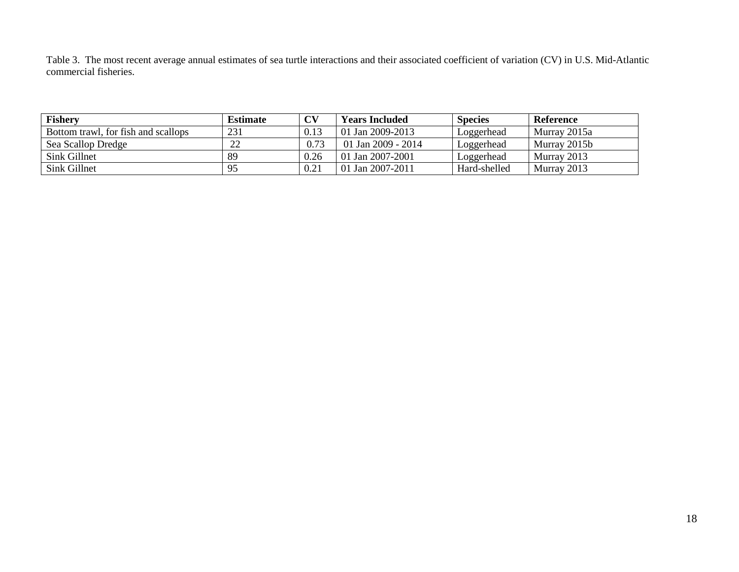Table 3. The most recent average annual estimates of sea turtle interactions and their associated coefficient of variation (CV) in U.S. Mid-Atlantic commercial fisheries.

| <b>Fishery</b>                      | <b>Estimate</b> | CV   | <b>Years Included</b> | <b>Species</b> | Reference    |
|-------------------------------------|-----------------|------|-----------------------|----------------|--------------|
| Bottom trawl, for fish and scallops | 231             | 0.13 | 01 Jan 2009-2013      | Loggerhead     | Murray 2015a |
| Sea Scallop Dredge                  | 22              | 0.73 | 01 Jan 2009 - 2014    | Loggerhead     | Murray 2015b |
| Sink Gillnet                        | 89              | 0.26 | 01 Jan 2007-2001      | Loggerhead     | Murray 2013  |
| Sink Gillnet                        | 95              | 0.21 | 01 Jan 2007-2011      | Hard-shelled   | Murray 2013  |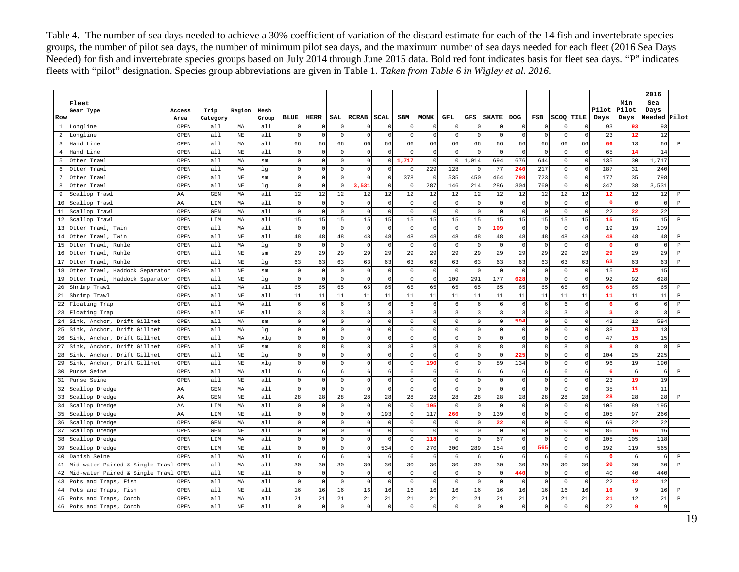Table 4. The number of sea days needed to achieve a 30% coefficient of variation of the discard estimate for each of the 14 fish and invertebrate species groups, the number of pilot sea days, the number of minimum pilot sea days, and the maximum number of sea days needed for each fleet (2016 Sea Days Needed) for fish and invertebrate species groups based on July 2014 through June 2015 data. Bold red font indicates basis for fleet sea days. "P" indicates fleets with "pilot" designation. Species group abbreviations are given in Table 1. *Taken from Table 6 in Wigley et al. 2016.*

|     |                                    |        |                   |             |            |                     |            |                         |                         |          |                         |             |                |                         |              |                |              |                |                |                         |                         | 2016           |                  |
|-----|------------------------------------|--------|-------------------|-------------|------------|---------------------|------------|-------------------------|-------------------------|----------|-------------------------|-------------|----------------|-------------------------|--------------|----------------|--------------|----------------|----------------|-------------------------|-------------------------|----------------|------------------|
|     | Fleet                              |        |                   |             |            |                     |            |                         |                         |          |                         |             |                |                         |              |                |              |                |                |                         | Min                     | Sea            |                  |
|     | Gear Type                          | Access | Trip              | Region      | Mesh       |                     |            |                         |                         |          |                         |             |                |                         |              |                |              |                |                | Pilot                   | Pilot                   | Days           |                  |
| Row |                                    | Area   | Category          |             | Group      | BLUE                | HERR       | SAL                     | RCRAB                   | SCAL     | SBM                     | <b>MONK</b> | GFL            | GFS                     | <b>SKATE</b> | DOG            | FSB          |                | SCOO TILE      | Days                    | Days                    | Needed         | Pilot            |
|     | 1 Longline                         | OPEN   | a11               | MA          | a11        |                     |            |                         | $\Omega$                | n        | $\Omega$                |             | $\Omega$       | $\Omega$                | $\Omega$     | $\Omega$       |              |                | $\Omega$       | 93                      | 93                      | 93             |                  |
|     | 2 Longline                         | OPEN   | a11               | NE          | a11        | $\Omega$            | n          | $\Omega$                | $\Omega$                | $\Omega$ | $\Omega$                | $\Omega$    | $\mathbf{0}$   | $\Omega$                | $\mathbf{0}$ | $\Omega$       |              | $\Omega$       | $\mathbf{0}$   | 23                      | 12                      | 12             |                  |
|     | 3 Hand Line                        | OPEN   | a11               | МA          | a11        | 66                  | 66         | 66                      | 66                      | 66       | 66                      | 66          | 66             | 66                      | 66           | 66             | 66           | 66             | 66             | 66                      | 13                      | 66             | $\, {\bf P}$     |
|     | 4 Hand Line                        | OPEN   | a11               | $_{\rm NE}$ | a11        | $\Omega$            | $\Omega$   | $\overline{0}$          | $\circ$                 | $\Omega$ | $\Omega$                | $\Omega$    | $\circ$        | $\overline{0}$          | $\Omega$     | $\Omega$       | $\cap$       | $\Omega$       | $\circ$        | 65                      | 14                      | 14             |                  |
|     | 5 Otter Trawl                      | OPEN   | a11               | MA          | sm         | $\circ$             | $\Omega$   | $\overline{0}$          | $\circ$                 | $\circ$  | 1,717                   | $\Omega$    | $\Omega$       | 1,014                   | 694          | 676            | 644          | $\circ$        | $\mathbf{0}$   | 135                     | 30                      | 1.717          |                  |
|     | 6 Otter Trawl                      | OPEN   | a11               | МA          | lg         | $\circ$             | $\Omega$   | $\Omega$                | $\circ$                 | $\Omega$ | $\mathbf{0}$            | 229         | 128            | $\Omega$                | 77           | 240            | 217          | $\circ$        | $\mathbf 0$    | 187                     | 31                      | 240            |                  |
| 7   | Otter Trawl                        | OPEN   | a11               | $\rm{NE}$   | sm         | $\Omega$            | $\Omega$   | $\Omega$                | $\circ$                 | $\Omega$ | 378                     | $\Omega$    | 535            | 450                     | 464          | 798            | 723          | $\circ$        | $\mathbf{0}$   | 177                     | 35                      | 798            |                  |
|     | 8 Otter Trawl                      | OPEN   | a11               | $_{\rm NE}$ | lg         | $\Omega$            | $\Omega$   | $\overline{0}$          | 3,531                   | $\Omega$ | $\Omega$                | 287         | 146            | 214                     | 286          | 304            | 760          | $\Omega$       | $\Omega$       | 347                     | 38                      | 3.531          |                  |
|     | 9 Scallop Trawl                    | AA     | GEN               | MA          | a11        | 12                  | 12         | 12                      | 12                      | 12       | 12                      | 12          | 12             | 12                      | 12           | 12             | 12           | 12             | 12             | 12                      | 12                      | 12             | $\, {\bf p}$     |
|     | 10 Scallop Trawl                   | AA     | LIM               | MA          | a11        | $\Omega$            | $\Omega$   | $\Omega$                | $\mathbf 0$             | $\Omega$ | $\mathbf{0}$            | $\Omega$    | $\circ$        | $\overline{0}$          | $\mathbf{0}$ | $\circ$        |              | $\Omega$       | $\mathbf{0}$   | $\mathbf{0}$            | $\circ$                 | $\Omega$       | $\, {\mathbb P}$ |
|     | 11 Scallop Trawl                   | OPEN   | $_{\mathrm{GEN}}$ | МA          | a11        | $\circ$             | $\Omega$   | $\circ$                 | $\circ$                 | $\Omega$ | $\mathbb O$             | $\circ$     | $\circ$        | $\circ$                 | $\mathbb O$  | $\mathbb O$    | $\Omega$     | $\mathbf{0}$   | $\circ$        | 22                      | 22                      | 22             |                  |
|     | 12 Scallop Trawl                   | OPEN   | LIM               | МA          | all        | 15                  | 15         | 15                      | 15                      | 15       | 15                      | 15          | 15             | 15                      | 15           | 15             | 15           | 15             | 15             | 15                      | 15                      | 15             | $\, {\bf p}$     |
|     | 13 Otter Trawl, Twin               | OPEN   | all               | МA          | a11        | $\Omega$            | $\Omega$   | $\overline{0}$          | $\mathbf 0$             | $\Omega$ | $\mathbb O$             | $\circ$     | $\mathbf{0}$   | $\circ$                 | 109          | $\circ$        | $\cap$       | $\Omega$       | $\mathbf{0}$   | 19                      | 19                      | 109            |                  |
|     | 14 Otter Trawl, Twin               | OPEN   | a11               | $_{\rm NE}$ | a11        | 48                  | 48         | 48                      | $4\,8$                  | 48       | $4\,8$                  | 48          | 48             | 48                      | 48           | 48             | 48           | 48             | 48             | 48                      | $4\,8$                  | 48             | $\, {\bf p}$     |
|     | 15 Otter Trawl, Ruhle              | OPEN   | all               | МA          | lg         | $\mathbf 0$         | $\Omega$   | $\overline{0}$          | $\mathbb O$             | $\Omega$ | $\mathbf 0$             | $\circ$     | $\circ$        | $\circ$                 | $\mathbf{0}$ | $\mathbb O$    | $\Omega$     | $\mathbf{0}$   | $\circ$        | $\mathbf{0}$            | $\circ$                 | $\Omega$       | $\, {\mathbb P}$ |
|     | 16 Otter Trawl, Ruhle              | OPEN   | a11               | $\rm{NE}$   | sm         | 29                  | 29         | 29                      | 29                      | 29       | 29                      | 29          | 29             | 29                      | 29           | 29             | 29           | 29             | 29             | 29                      | 29                      | 29             | $\, {\bf p}$     |
|     | 17 Otter Trawl, Ruhle              | OPEN   | a11               | $\rm{NE}$   | lg         | 63                  | 63         | 63                      | 63                      | 63       | 63                      | 63          | 63             | 63                      | 63           | 63             | 63           | 63             | 63             | 63                      | 63                      | 63             | $\, {\bf P}$     |
|     | 18 Otter Trawl, Haddock Separator  | OPEN   | a11               | $_{\rm NE}$ | ${\rm sm}$ | $\mathbf 0$         | $\Omega$   | $\Omega$                | $\mathbf 0$             | $\Omega$ | $\mathbf 0$             | $\Omega$    | $\Omega$       | $\circ$                 | $\Omega$     | $\overline{0}$ | $\cap$       | $\Omega$       | $\circ$        | 15                      | 15                      | 15             |                  |
|     | 19 Otter Trawl, Haddock Separator  | OPEN   | a11               | $_{\rm NE}$ | lq         | $\Omega$            | $\Omega$   | $\circ$                 | $\mathbb O$             | $\Omega$ | $\mathbf{0}$            | $\Omega$    | 109            | 291                     | 177          | 628            | $\cap$       | $\Omega$       | $\mathbf 0$    | 92                      | 92                      | 628            |                  |
|     | 20 Shrimp Trawl                    | OPEN   | a11               | МA          | a11        | 65                  | 65         | 65                      | 65                      | 65       | 65                      | 65          | 65             | 65                      | 65           | 65             | 65           | 65             | 65             | 65                      | 65                      | 65             | $\, {\bf p}$     |
|     | 21 Shrimp Trawl                    | OPEN   | all               | $\rm{NE}$   | all        | 11                  | 11         | 11                      | 11                      | 11       | 11                      | 11          | 11             | 11                      | 11           | 11             | 11           | 11             | 11             | 11                      | 11                      | 11             | $\, {\bf P}$     |
|     | 22 Floating Trap                   | OPEN   | all               | МA          | a11        | 6                   | 6          | $6 \mid$                | 6                       | 6        | $\epsilon$              | 6           | 6              | $6 \mid$                | 6            | 6              | -6           | 6              | 6              | 6                       | 6                       | 6              | $\, {\bf p}$     |
|     | 23 Floating Trap                   | OPEN   | all               | $_{\rm NE}$ | a11        | 3                   | 3          | $\overline{\mathbf{3}}$ | $\overline{\mathbf{3}}$ | 3        | $\overline{\mathbf{3}}$ | 3           | $\overline{3}$ | $\overline{\mathbf{3}}$ | 3            | $\overline{3}$ | $\mathbf{R}$ | $\overline{3}$ | $\overline{3}$ | $\overline{\mathbf{3}}$ | $\overline{\mathbf{3}}$ | $\overline{3}$ | $\, {\bf P}$     |
|     | 24 Sink, Anchor, Drift Gillnet     | OPEN   | all               | МA          | sm         | $\mathsf{O}\xspace$ | $\Omega$   | $\overline{0}$          | $\circ$                 | $\Omega$ | $\mathbb O$             | $\Omega$    | $\circ$        | $\overline{0}$          | $\Omega$     | 594            | $\Omega$     | $\mathbf 0$    | $\circ$        | 43                      | 12                      | 594            |                  |
|     | 25 Sink, Anchor, Drift Gillnet     | OPEN   | all               | МA          | lg         | 0                   | $\circ$    | $\circ$                 | $\circ$                 | $\Omega$ | $\circ$                 | $\Omega$    | $\mathbb O$    | $\circ$                 | $\Omega$     | $\mathbb O$    | $\Omega$     | $\circ$        | $\circ$        | 38                      | 13                      | 13             |                  |
|     | 26 Sink, Anchor, Drift Gillnet     | OPEN   | all               | MA          | xlq        | $\circ$             | $\Omega$   | $\circ$                 | $\circ$                 | $\Omega$ | $\mathbb O$             | $\Omega$    | $\circ$        | $\circ$                 | $\Omega$     | $\circ$        | $\cap$       | $\circ$        | $\circ$        | 47                      | 15                      | 15             |                  |
|     | 27 Sink, Anchor, Drift Gillnet     | OPEN   | all               | $_{\rm NE}$ | sm         | 8                   | 8          | 8                       | 8 <sup>1</sup>          | 8        | 8                       | 8           | 8              | 8 <sup>1</sup>          | 8            | 8              |              | 8              | 8              | 8                       | 8                       | 8              | $\, {\bf p}$     |
|     | 28 Sink, Anchor, Drift Gillnet     | OPEN   | all               | $_{\rm NE}$ | lg         | $\circ$             | $\Omega$   | $\overline{0}$          | $\circ$                 | $\Omega$ | $\mathbb O$             | $\circ$     | $\circ$        | $\circ$                 | $^{\circ}$   | 225            | $\Omega$     | $\circ$        | $\circ$        | 104                     | 25                      | 225            |                  |
|     | 29 Sink, Anchor, Drift Gillnet     | OPEN   | a11               | $_{\rm NE}$ | xlq        | $\Omega$            | $\Omega$   | $\overline{0}$          | $\circ$                 | $\Omega$ | $\Omega$                | 190         | $\circ$        | $\circ$                 | 89           | 134            | $\cap$       | $\circ$        | $\Omega$       | 96                      | 19                      | 190            |                  |
|     | 30 Purse Seine                     | OPEN   | all               | MA          | a11        | 6                   | 6          | $6 \mid$                | $6 \mid$                | 6        | 6                       | 6           | 6              | $6 \mid$                | 6            | 6              | -6           | 6              | 6              | 6                       | 6                       | 6              | $\, {\bf p}$     |
|     | 31 Purse Seine                     | OPEN   | all               | $_{\rm NE}$ | all        | $\circ$             | $\circ$    | $\circ$                 | $\circ$                 | $\Omega$ | $\mathbb O$             | $\Omega$    | $\circ$        | $\circ$                 | $\mathbf 0$  | $\circ$        | $\Omega$     | $\circ$        | $\circ$        | 23                      | 19                      | 19             |                  |
|     | 32 Scallop Dredge                  | AA     | GEN               | МA          | a11        | $\Omega$            | $\Omega$   | $\circ$                 | $\circ$                 | $\Omega$ | $\mathbf{0}$            | $\circ$     | $\mathbf 0$    | $\circ$                 | $\Omega$     | $\overline{0}$ | $\cap$       | $\circ$        | $\circ$        | 35                      | 11                      | 11             |                  |
|     | 33 Scallop Dredge                  | AA     | GEN               | $\rm{NE}$   | a11        | 28                  | 28         | 28                      | 28                      | 28       | 28                      | 28          | 28             | 28                      | 28           | 28             | 28           | 28             | 28             | 28                      | 28                      | 28             | $\, {\bf p}$     |
|     | 34 Scallop Dredge                  | AA     | LIM               | МA          | all        | $\mathbf 0$         | $^{\circ}$ | $\circ$                 | $\mathsf 0$             | $\Omega$ | $\mathbb O$             | 195         | $\circ$        | $\circ$                 | $^{\circ}$   | $\mathbb O$    | $\Omega$     | $\mathbb O$    | $\mathbb O$    | 105                     | 89                      | 195            |                  |
|     | 35 Scallop Dredge                  | AA     | LIM               | $_{\rm NE}$ | all        | $\circ$             | 0          | $\circ$                 | $\circ$                 | 193      | $\mathbb O$             | 117         | 266            | $\overline{0}$          | 139          | $\mathbf 0$    | $\Omega$     | $\mathbb O$    | $\mathbf 0$    | 105                     | 97                      | 266            |                  |
|     | 36 Scallop Dredge                  | OPEN   | GEN               | МA          | a11        | $\circ$             | $^{\circ}$ | $\circ$                 | $\circ$                 | $\Omega$ | $\mathbb O$             | $\Omega$    | $\mathbb O$    | $\circ$                 | 22           | $\circ$        | $\Omega$     | $\mathbb O$    | $\circ$        | 69                      | 22                      | 22             |                  |
|     | 37 Scallop Dredge                  | OPEN   | GEN               | $_{\rm NE}$ | all        | $\circ$             | 0          | $\circ$                 | $\circ$                 | $\Omega$ | $\mathbb O$             | $\Omega$    | $\mathbb O$    | $\circ$                 | $\Omega$     | $\mathbf 0$    | $\Omega$     | $\mathbb O$    | $\mathbf 0$    | 86                      | 16                      | 16             |                  |
|     | 38 Scallop Dredge                  | OPEN   | LIM               | МA          | a11        | $\circ$             | $\Omega$   | $\circ$                 | $\circ$                 | $\Omega$ | $\mathbb O$             | 118         | $\mathbb O$    | $\circ$                 | 67           | $\circ$        | $\Omega$     | $\mathbb O$    | $\mathbf 0$    | 105                     | 105                     | 118            |                  |
|     | 39 Scallop Dredge                  | OPEN   | LIM               | $_{\rm NE}$ | a11        | $\circ$             | $\Omega$   | $\circ$                 | $\circ$                 | 534      | $\circ$                 | 270         | 300            | 289                     | 154          | $\mathbf 0$    | 565          | $\circ$        | $\mathbf 0$    | 192                     | 119                     | 565            |                  |
|     | 40 Danish Seine                    | OPEN   | all               | МA          | all        | 6                   | 6          | 6                       | $6 \mid$                | 6        | 6                       | 6           | 6              | $6 \mid$                | 6            | 6              | -6           | 6              | 6              | 6                       | 6                       | 6              | $\, {\bf p}$     |
|     | 41 Mid-water Paired & Single Trawl | OPEN   | a11               | МA          | a11        | 30                  | 30         | 30                      | 30                      | 30       | 30                      | 30          | 30             | 30                      | 30           | 30             | 30           | 30             | 30             | 30                      | 30                      | 30             | $\, {\mathbb P}$ |
|     | 42 Mid-water Paired & Single Trawl | OPEN   | a11               | $\rm{NE}$   | a11        | $\Omega$            | $\Omega$   | $\Omega$                | $\mathbf 0$             | $\Omega$ | $\mathbb O$             | $\circ$     | $\circ$        | $\circ$                 | $\mathbf 0$  | 440            | $\Omega$     | $\circ$        | $\circ$        | 40                      | 40                      | 440            |                  |
|     | 43 Pots and Traps, Fish            | OPEN   | a11               | МA          | a11        | $\Omega$            | $\Omega$   | $\circ$                 | $\circ$                 | $\Omega$ | $\mathbf 0$             | $\circ$     | $\circ$        | $\circ$                 | $\Omega$     | $\Omega$       | $\cap$       | $\circ$        | $\mathbf 0$    | 22                      | 12                      | 12             |                  |
|     | 44 Pots and Traps, Fish            | OPEN   | a11               | $_{\rm NE}$ | all        | 16                  | 16         | 16                      | 16                      | 16       | 16                      | 16          | 16             | 16                      | 16           | 16             | 16           | 16             | 16             | 16                      | $\overline{9}$          | 16             | $\, {\bf p}$     |
|     | 45 Pots and Traps,<br>Conch        | OPEN   | a11               | MA          | a11        | 21                  | 21         | 21                      | 21                      | 21       | 21                      | 21          | 21             | 21                      | 21           | 21             | 21           | 21             | 21             | 21                      | 12                      | 21             | $\, {\bf p}$     |
|     | 46 Pots and Traps, Conch           | OPEN   | a11               | NE          | a11        | $\circ$             | $\Omega$   | $\Omega$                | $\circ$                 | $\Omega$ | $\mathbf{0}$            | $\Omega$    | $\Omega$       | $\circ$                 | $\Omega$     | $\Omega$       | $\Omega$     | $\Omega$       | $\Omega$       | 22                      | $\overline{9}$          | $\mathbf{Q}$   |                  |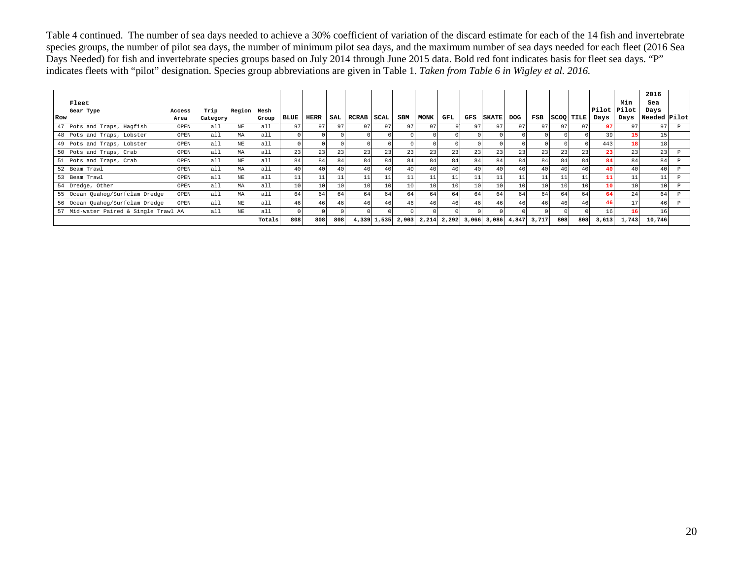Table 4 continued. The number of sea days needed to achieve a 30% coefficient of variation of the discard estimate for each of the 14 fish and invertebrate species groups, the number of pilot sea days, the number of minimum pilot sea days, and the maximum number of sea days needed for each fleet (2016 Sea Days Needed) for fish and invertebrate species groups based on July 2014 through June 2015 data. Bold red font indicates basis for fleet sea days. "P" indicates fleets with "pilot" designation. Species group abbreviations are given in Table 1. *Taken from Table 6 in Wigley et al. 2016.*

|                                       |        |          |             |        |                 |                 |     |                 |             |            |             |                 |       |              |            |       |     |                  |               |       | 2016         |  |
|---------------------------------------|--------|----------|-------------|--------|-----------------|-----------------|-----|-----------------|-------------|------------|-------------|-----------------|-------|--------------|------------|-------|-----|------------------|---------------|-------|--------------|--|
| Fleet                                 |        |          |             |        |                 |                 |     |                 |             |            |             |                 |       |              |            |       |     |                  |               | Min   | Sea          |  |
| Gear Type                             | Access | Trip     | Region Mesh |        |                 |                 |     |                 |             |            |             |                 |       |              |            |       |     |                  | Pilot   Pilot |       | Days         |  |
| Row                                   | Area   | Category |             | Group  | <b>BLUE</b>     | HERR            | SAL | <b>RCRAB</b>    | SCAL        | <b>SBM</b> | <b>MONK</b> | GFL             | GFS   | <b>SKATE</b> | <b>DOG</b> | FSB   |     | <b>SCOO TILE</b> | Days          | Days  | Needed Pilot |  |
| 47 Pots and Traps, Hagfish            | OPEN   | all      | NE          | all    | 97              | 97              |     | 97 <sup>1</sup> | 97          | 971        | 97          |                 | 97    | 97           | 97         | 97    | 97  | 97               | 97            | 97    | 97           |  |
| 48 Pots and Traps, Lobster            | OPEN   | a11      | МA          | all    |                 |                 |     |                 |             |            |             |                 |       |              |            |       |     |                  | 39            | 15    |              |  |
| 49 Pots and Traps, Lobster            | OPEN   | a11      | NE          | a11    |                 |                 |     |                 |             |            |             |                 |       |              |            |       |     |                  | 443           | 18    |              |  |
| 50 Pots and Traps, Crab               | OPEN   | all      | МA          | all    | 23              | 23              | 23  | 23              | 23          | 23         | 23          | 23              | 23    | 23           | 23         | 23    | 23  | 23               | 23            | 23    | 23           |  |
| 51 Pots and Traps, Crab               | OPEN   | a11      | NE          | a11    | 84              | 84              | 84  | 84              | 84          | 84         | 84          | 84              | 84    | 84           | 84         | 84    | 84  | 84               | 84            | 84    | 84           |  |
| 52 Beam Trawl                         | OPEN   | a11      | МA          | a11    | 40 <sub>1</sub> | 40              |     | 40              | 40          | 40         | 40          | 40              | 40    | 40           | 40         | 40    | 40  | 40               | 40            |       | 40           |  |
| 53 Beam Trawl                         | OPEN   | a11      | NE          | a11    | 11              | 11              |     | 11              | 11          | 11         | 11          | 11              | 11    | 11           | 11         | 11    | 11  | 11               | 11            | 11    | 11           |  |
| 54 Dredge, Other                      | OPEN   | a11      | МA          | all    | 10 <sup>1</sup> | 10 <sub>1</sub> | 10  | 10 <sup>1</sup> | 10          | 10         | 10          | 10 <sub>1</sub> | 10    | 10           | 10         | 10    | 10  | 10               | 10            | 10    |              |  |
| 55 Ocean Quahog/Surfclam Dredge       | OPEN   | a11      | МA          | all    | 64              | 64              | 64  | 64              | 64          | 64         | 64          | 64              | 64    | 64           | 64         | 64    | 64  | 64               | 64            | 24    | 64           |  |
| 56 Ocean Quahog/Surfclam Dredge       | OPEN   | a11      | NE          | a11    | 46              | 46              |     | 46              | 46          | 46         | 46          | 46              | 46    | 46           | 46         | 46    | 46  | 46               | 46            | 17    | 46           |  |
| 57 Mid-water Paired & Single Trawl AA |        | all      | NE          | all    |                 |                 |     |                 |             |            |             |                 |       |              |            |       |     |                  | 16            | 161   |              |  |
|                                       |        |          |             | Totals | 808             | 808             | 808 |                 | 4,339 1,535 | 2,903      | 2,214       | 2,292           | 3,066 | 3,086        | 4,847      | 3,717 | 808 | 808              | 3,613         | 1,743 | 10,746       |  |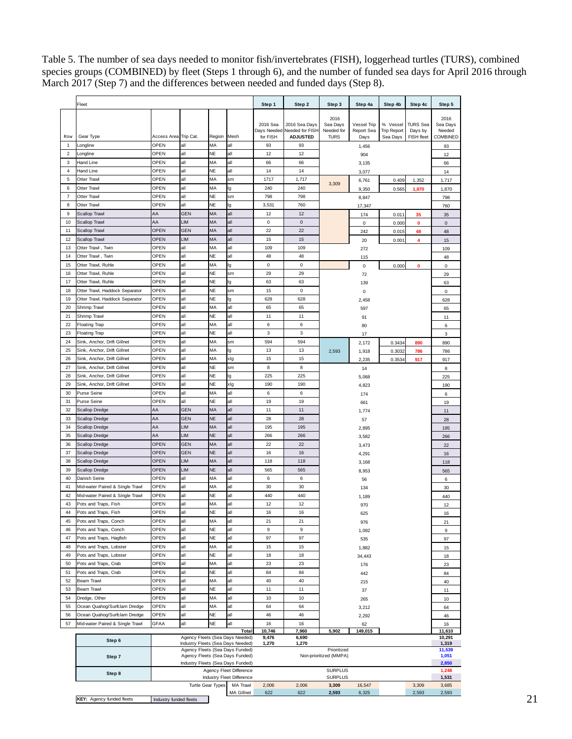Table 5. The number of sea days needed to monitor fish/invertebrates (FISH), loggerhead turtles (TURS), combined species groups (COMBINED) by fleet (Steps 1 through 6), and the number of funded sea days for April 2016 through March 2017 (Step 7) and the differences between needed and funded days (Step 8).

|                     | Fleet                                                           |                                                                    |                                                                      |                 |                                       | Step 1               | Step 2                                                          | Step 3                                        | Step 4a                           | Step 4b                                    | Step 4c                                  | Step 5                                 |
|---------------------|-----------------------------------------------------------------|--------------------------------------------------------------------|----------------------------------------------------------------------|-----------------|---------------------------------------|----------------------|-----------------------------------------------------------------|-----------------------------------------------|-----------------------------------|--------------------------------------------|------------------------------------------|----------------------------------------|
| Row                 | Gear Type                                                       | Access Area Trip Cat.                                              |                                                                      | Region Mesh     |                                       | 2016 Sea<br>for FISH | 2016 Sea Davs<br>Days Needed Needed for FISH<br><b>ADJUSTED</b> | 2016<br>Sea Days<br>Needed for<br><b>TURS</b> | Vessel Trip<br>Report Sea<br>Days | % Vessel<br><b>Trip Report</b><br>Sea Days | <b>TURS Sea</b><br>Days by<br>FISH fleet | 2016<br>Sea Days<br>Needed<br>COMBINED |
| $\mathbf{1}$        | Longline                                                        | OPEN                                                               | all                                                                  | MA              | all                                   | 93                   | 93                                                              |                                               | 1,456                             |                                            |                                          | 93                                     |
| 2                   | Longline                                                        | OPEN                                                               | all                                                                  | NE              | all                                   | 12                   | 12                                                              |                                               | 904                               |                                            |                                          | 12                                     |
| 3                   | Hand Line                                                       | OPEN                                                               | all                                                                  | ΜA              | all                                   | 66                   | 66                                                              |                                               | 3,135                             |                                            |                                          | 66                                     |
| 4                   | Hand Line                                                       | OPEN                                                               | all                                                                  | NE              | all                                   | 14                   | 14                                                              |                                               | 3,077                             |                                            |                                          | 14                                     |
| 5                   | Otter Trawl                                                     | OPEN                                                               | all                                                                  | MA              | sm                                    | 1717                 | 1,717                                                           | 3,309                                         | 6,761                             | 0.409                                      | 1,352                                    | 1,717                                  |
| 6                   | <b>Otter Trawl</b>                                              | OPEN                                                               | all                                                                  | MA              | lg                                    | 240                  | 240                                                             |                                               | 9,350                             | 0.565                                      | 1,870                                    | 1,870                                  |
| $\overline{7}$<br>8 | Otter Trawl<br>Otter Trawl                                      | OPEN<br>OPEN                                                       | all<br>all                                                           | <b>NE</b><br>NE | sm<br>lg                              | 798<br>3,531         | 798<br>760                                                      |                                               | 8,847                             |                                            |                                          | 798                                    |
| 9                   | Scallop Trawl                                                   | AA                                                                 | <b>GEN</b>                                                           | MA              | all                                   | 12                   | 12                                                              |                                               | 17,347<br>174                     | 0.011                                      | 35                                       | 760<br>35                              |
| 10                  | Scallop Trawl                                                   | AA                                                                 | <b>LIM</b>                                                           | MA              | all                                   | 0                    | $\mathbf 0$                                                     |                                               | $\mathbf 0$                       | 0.000                                      | $\mathbf 0$                              | $\pmb{0}$                              |
| 11                  | Scallop Trawl                                                   | <b>OPEN</b>                                                        | <b>GEN</b>                                                           | MA              | all                                   | 22                   | 22                                                              |                                               | 242                               | 0.015                                      | 48                                       | 48                                     |
| 12                  | Scallop Trawl                                                   | <b>OPEN</b>                                                        | LIM                                                                  | MA              | all                                   | 15                   | 15                                                              |                                               | 20                                | 0.001                                      | 4                                        | 15                                     |
| 13                  | Otter Trawl, Twin                                               | OPEN                                                               | all                                                                  | MA              | all                                   | 109                  | 109                                                             |                                               | 272                               |                                            |                                          | 109                                    |
| 14                  | Otter Trawl, Twin                                               | OPEN                                                               | all                                                                  | <b>NE</b>       | all                                   | 48                   | 48                                                              |                                               | 115                               |                                            |                                          | 48                                     |
| 15                  | Otter Trawl, Ruhle                                              | OPEN                                                               | all                                                                  | MA<br><b>NE</b> | lg                                    | $\mathbf 0$          | $\mathsf 0$                                                     |                                               | 0                                 | 0.000                                      | 0                                        | $\pmb{0}$                              |
| 16                  | Otter Trawl, Ruhle                                              | <b>OPEN</b><br>OPEN                                                | all<br>all                                                           | NE              | sm                                    | 29<br>63             | 29                                                              |                                               | 72                                |                                            |                                          | 29                                     |
| 17<br>18            | Otter Trawl, Ruhle<br>Otter Trawl, Haddock Separator            | <b>OPEN</b>                                                        | all                                                                  | <b>NE</b>       | lg<br>sm                              | 15                   | 63<br>0                                                         |                                               | 139<br>$\mathsf 0$                |                                            |                                          | 63<br>$\mathbf 0$                      |
| 19                  | Otter Trawl, Haddock Separator                                  | OPEN                                                               | all                                                                  | <b>NE</b>       | lg                                    | 628                  | 628                                                             |                                               | 2,458                             |                                            |                                          | 628                                    |
| 20                  | Shrimp Trawl                                                    | OPEN                                                               | all                                                                  | MA              | all                                   | 65                   | 65                                                              |                                               | 597                               |                                            |                                          | 65                                     |
| 21                  | Shrimp Trawl                                                    | OPEN                                                               | all                                                                  | NE              | all                                   | 11                   | 11                                                              |                                               | 91                                |                                            |                                          | 11                                     |
| 22                  | <b>Floating Trap</b>                                            | OPEN                                                               | all                                                                  | MA              | all                                   | 6                    | 6                                                               |                                               | 80                                |                                            |                                          | 6                                      |
| 23                  | <b>Floating Trap</b>                                            | OPEN                                                               | all                                                                  | NE              | all                                   | 3                    | 3                                                               |                                               | 17                                |                                            |                                          | 3                                      |
| 24                  | Sink, Anchor, Drift Gillnet                                     | OPEN                                                               | all                                                                  | MA              | sm                                    | 594                  | 594                                                             |                                               | 2,172                             | 0.3434                                     | 890                                      | 890                                    |
| 25                  | Sink, Anchor, Drift Gillnet                                     | OPEN                                                               | all                                                                  | MA<br>MA        | lg                                    | 13                   | 13                                                              | 2,593                                         | 1,918                             | 0.3032                                     | 786                                      | 786                                    |
| 26<br>27            | Sink, Anchor, Drift Gillnet<br>Sink, Anchor, Drift Gillnet      | OPEN<br>OPEN                                                       | all<br>all                                                           | <b>NE</b>       | xlg<br>sm                             | 15<br>8              | 15<br>8                                                         |                                               | 2,235                             | 0.3534                                     | 917                                      | 917                                    |
| 28                  | Sink, Anchor, Drift Gillnet                                     | OPEN                                                               | all                                                                  | <b>NE</b>       | lg                                    | 225                  | 225                                                             |                                               | 14<br>5,068                       |                                            |                                          | 8<br>225                               |
| 29                  | Sink, Anchor, Drift Gillnet                                     | OPEN                                                               | all                                                                  | NE              | xlg                                   | 190                  | 190                                                             |                                               | 4,823                             |                                            |                                          | 190                                    |
| 30                  | Purse Seine                                                     | OPEN                                                               | all                                                                  | MA              | all                                   | 6                    | 6                                                               |                                               | 174                               |                                            |                                          | 6                                      |
| 31                  | Purse Seine                                                     | OPEN                                                               | all                                                                  | <b>NE</b>       | all                                   | 19                   | 19                                                              |                                               | 661                               |                                            |                                          | 19                                     |
| 32                  | Scallop Dredge                                                  | AA                                                                 | <b>GEN</b>                                                           | MA              | all                                   | 11                   | 11                                                              |                                               | 1,774                             |                                            |                                          | 11                                     |
| 33                  | Scallop Dredge                                                  | AA                                                                 | <b>GEN</b>                                                           | <b>NE</b>       | all                                   | 28                   | 28                                                              |                                               | 57                                |                                            |                                          | 28                                     |
| 34                  | Scallop Dredge                                                  | AA                                                                 | LIM                                                                  | MA              | all                                   | 195                  | 195                                                             |                                               | 2,895                             |                                            |                                          | 195                                    |
| 35                  | Scallop Dredge                                                  | AA<br><b>OPEN</b>                                                  | LIM<br><b>GEN</b>                                                    | <b>NE</b><br>MA | all<br>all                            | 266<br>22            | 266<br>22                                                       |                                               | 3,582                             |                                            |                                          | 266                                    |
| 36<br>37            | Scallop Dredge<br>Scallop Dredge                                | <b>OPEN</b>                                                        | <b>GEN</b>                                                           | <b>NE</b>       | all                                   | 16                   | 16                                                              |                                               | 3,473                             |                                            |                                          | 22                                     |
| 38                  | Scallop Dredge                                                  | <b>OPEN</b>                                                        | <b>LIM</b>                                                           | МA              | all                                   | 118                  | 118                                                             |                                               | 4,291<br>3,168                    |                                            |                                          | 16<br>118                              |
| 39                  | Scallop Dredge                                                  | OPEN                                                               | <b>LIM</b>                                                           | <b>NE</b>       | all                                   | 565                  | 565                                                             |                                               | 8,953                             |                                            |                                          | 565                                    |
| 40                  | Danish Seine                                                    | OPEN                                                               | all                                                                  | MA              | all                                   | 6                    | 6                                                               |                                               | 56                                |                                            |                                          | 6                                      |
| 41                  | Mid-water Paired & Single Trawl                                 | OPEN                                                               | all                                                                  | ΜA              | all                                   | 30                   | 30                                                              |                                               | 134                               |                                            |                                          | 30                                     |
| 42                  | Mid-water Paired & Single Trawl                                 | OPEN                                                               | all                                                                  | NE              | all                                   | 440                  | 440                                                             |                                               | 1,189                             |                                            |                                          | 440                                    |
| 43                  | Pots and Traps, Fish                                            | OPEN                                                               | all                                                                  | MA              | all                                   | 12                   | 12                                                              |                                               | 970                               |                                            |                                          | 12                                     |
| 44                  | Pots and Traps, Fish                                            | OPEN                                                               | all                                                                  | NE              | all                                   | 16                   | 16                                                              |                                               | 625                               |                                            |                                          | 16                                     |
| 45<br>46            | Pots and Traps, Conch<br>Pots and Traps, Conch                  | OPEN<br>OPEN                                                       | all<br>all                                                           | MA<br><b>NE</b> | all<br>all                            | 21<br>9              | 21<br>9                                                         |                                               | 976                               |                                            |                                          | 21                                     |
| 47                  | Pots and Traps, Hagfish                                         | OPEN                                                               | all                                                                  | NE              | all                                   | 97                   | 97                                                              |                                               | 1,092                             |                                            |                                          | 9<br>97                                |
| 48                  | Pots and Traps, Lobster                                         | OPEN                                                               | all                                                                  | MA              | all                                   | 15                   | 15                                                              |                                               | 535<br>1,882                      |                                            |                                          | 15                                     |
| 49                  | Pots and Traps, Lobster                                         | OPEN                                                               | all                                                                  | <b>NE</b>       | all                                   | 18                   | 18                                                              |                                               | 34,443                            |                                            |                                          | 18                                     |
| 50                  | Pots and Traps, Crab                                            | OPEN                                                               | all                                                                  | MA              | all                                   | 23                   | 23                                                              |                                               | 176                               |                                            |                                          | 23                                     |
| 51                  | Pots and Traps, Crab                                            | OPEN                                                               | all                                                                  | <b>NE</b>       | all                                   | 84                   | 84                                                              |                                               | 442                               |                                            |                                          | 84                                     |
| 52                  | Beam Trawl                                                      | OPEN                                                               | all                                                                  | MA              | all                                   | 40                   | 40                                                              |                                               | 215                               |                                            |                                          | 40                                     |
| 53                  | Beam Trawl                                                      | OPEN                                                               | all                                                                  | <b>NE</b>       | all                                   | 11                   | 11                                                              |                                               | 37                                |                                            |                                          | 11                                     |
| 54                  | Dredge, Other                                                   | OPEN                                                               | all                                                                  | MA              | all                                   | 10                   | 10                                                              |                                               | 265                               |                                            |                                          | 10                                     |
| 55                  | Ocean Quahog/Surfclam Dredge                                    | OPEN<br><b>OPEN</b>                                                | all<br>all                                                           | MA<br>NE        | all<br>all                            | 64<br>46             | 64<br>46                                                        |                                               | 3,212                             |                                            |                                          | 64                                     |
| 56<br>57            | Ocean Quahog/Surfclam Dredge<br>Mid-water Paired & Single Trawl | <b>GFAA</b>                                                        | all                                                                  | NE              | all                                   | 16                   | 16                                                              |                                               | 2,292<br>62                       |                                            |                                          | 46<br>16                               |
|                     |                                                                 |                                                                    |                                                                      |                 | Total                                 | 10,746               | 7,960                                                           | 5,902                                         | 149,015                           |                                            |                                          | 11,610                                 |
|                     | Step 6                                                          |                                                                    | Agency Fleets (Sea Days Needed)<br>Industry Fleets (Sea Days Needed) |                 |                                       | 9,476<br>1,270       | 6,690<br>1,270                                                  |                                               |                                   |                                            |                                          | 10,291<br>1,319                        |
|                     | Step 7                                                          | Agency Fleets (Sea Days Funded)<br>Agency Fleets (Sea Days Funded) |                                                                      |                 | Prioritized<br>Non-prioritized (MMPA) |                      |                                                                 |                                               | 11,539<br>1,051                   |                                            |                                          |                                        |
|                     |                                                                 |                                                                    | Industry Fleets (Sea Days Funded)                                    |                 | Agency Fleet Difference               |                      |                                                                 | <b>SURPLUS</b>                                |                                   |                                            |                                          | 2,850<br>1,248                         |
|                     | Step 8                                                          |                                                                    |                                                                      |                 | Industry Fleet Difference             |                      |                                                                 | <b>SURPLUS</b>                                |                                   |                                            |                                          | 1,531                                  |
|                     |                                                                 |                                                                    | Turtle Gear Types                                                    |                 | MA Trawl                              | 2,006                | 2,006                                                           | 3,309                                         | 16,547                            |                                            | 3,309                                    | 3,685                                  |
|                     |                                                                 |                                                                    |                                                                      |                 | <b>MA Gillnet</b>                     | 622                  | 622                                                             | 2,593                                         | 6,325                             |                                            | 2,593                                    | 2,593                                  |
|                     | KEY: Agency funded fleets                                       | Industry funded fleets                                             |                                                                      |                 |                                       |                      |                                                                 |                                               |                                   |                                            |                                          |                                        |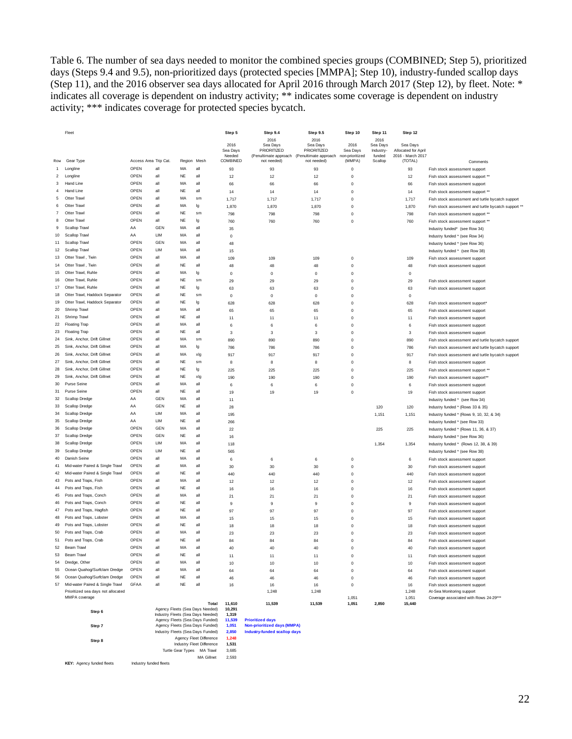Table 6. The number of sea days needed to monitor the combined species groups (COMBINED; Step 5), prioritized days (Steps 9.4 and 9.5), non-prioritized days (protected species [MMPA]; Step 10), industry-funded scallop days (Step 11), and the 2016 observer sea days allocated for April 2016 through March 2017 (Step 12), by fleet. Note: \* indicates all coverage is dependent on industry activity; \*\* indicates some coverage is dependent on industry activity; \*\*\* indicates coverage for protected species bycatch.

|                | Fleet                                               |                       |                |             |                                          | Step 5<br>2016     | Step 9.4<br>2016<br>Sea Days | Step 9.5<br>2016<br>Sea Davs                               | Step 10<br>2016             | Step 11<br>2016<br>Sea Days | Step 12<br>Sea Days                      |                                                     |
|----------------|-----------------------------------------------------|-----------------------|----------------|-------------|------------------------------------------|--------------------|------------------------------|------------------------------------------------------------|-----------------------------|-----------------------------|------------------------------------------|-----------------------------------------------------|
|                |                                                     |                       |                |             |                                          | Sea Days<br>Needed | PRIORITIZED                  | PRIORITIZED<br>(Penultimate approach (Penultimate approach | Sea Days<br>non-prioritized | Industry<br>funded          | Allocated for April<br>2016 - March 2017 |                                                     |
| Row            | Gear Type                                           | Access Area Trip Cat. |                | Region Mesh |                                          | COMBINED           | not needed)                  | not needed)                                                | (MMPA)                      | Scallop                     | (TOTAL)                                  | Comments                                            |
|                | Longline                                            | OPEN                  | all            | MA          | all                                      | 93                 | 93                           | 93                                                         | $\mathbf 0$                 |                             | 93                                       | Fish stock assessment support                       |
| $\overline{2}$ | Longline                                            | OPEN                  | all            | <b>NE</b>   | all                                      | 12                 | 12                           | 12                                                         | $\mathbf 0$                 |                             | 12                                       | Fish stock assessment support **                    |
| 3              | Hand Line                                           | OPEN                  | all            | MA          | $\overline{a}$                           | 66                 | 66                           | 66                                                         | $\Omega$                    |                             | 66                                       | Fish stock assessment support                       |
| $\overline{4}$ | Hand Line                                           | OPEN                  | $\overline{a}$ | <b>NE</b>   | $\overline{a}$                           | 14                 | 14                           | 14                                                         | $\mathbf 0$                 |                             | 14                                       | Fish stock assessment support **                    |
| 5              | Otter Trawl                                         | OPEN                  | $\overline{a}$ | MA          | $\mathbf{s}$ m                           | 1,717              | 1,717                        | 1,717                                                      | $\mathbf 0$                 |                             | 1,717                                    | Fish stock assessment and turtle bycatch support    |
| 6              | Otter Trawl                                         | OPEN                  | all            | MA          | lg                                       | 1,870              | 1,870                        | 1,870                                                      | $\mathbf 0$                 |                             | 1,870                                    | Fish stock assessment and turtle bycatch support ** |
| $\overline{7}$ | Otter Trawl                                         | OPFN                  | $\overline{a}$ | <b>NE</b>   | sm                                       | 798                | 798                          | 798                                                        | $\Omega$                    |                             | 798                                      | Fish stock assessment support **                    |
| 8              | Otter Traw                                          | OPEN                  | all            | <b>NE</b>   | Ig                                       | 760                | 760                          | 760                                                        | $\mathbf 0$                 |                             | 760                                      | Fish stock assessment support **                    |
| 9              | Scallop Trawl                                       | AA                    | GEN            | MA          | all                                      | 35                 |                              |                                                            |                             |                             |                                          | Industry funded* (see Row 34)                       |
| 10             | Scallop Trawl                                       | AA                    | LIM            | MA          | all                                      | $\mathbf 0$        |                              |                                                            |                             |                             |                                          | Industry funded * (see Row 34)                      |
| 11             | Scallop Trawl                                       | OPEN                  | GEN            | MA          | all                                      | 48                 |                              |                                                            |                             |                             |                                          | Industry funded * (see Row 36)                      |
| 12             | Scallop Trawl                                       | OPEN                  | 1 IM           | MA          | all                                      | 15                 |                              |                                                            |                             |                             |                                          | Industry funded * (see Row 38)                      |
| 13             | Otter Trawl, Twin                                   | OPEN                  | all            | MA          | $\overline{a}$                           | 109                | 109                          | 109                                                        | $\mathbf 0$                 |                             | 109                                      | Fish stock assessment support                       |
| 14             | Otter Trawl . Twin                                  | OPEN                  | all            | <b>NE</b>   | all                                      | 48                 | 48                           | 48                                                         | $\Omega$                    |                             | 48                                       | Fish stock assessment support                       |
| 15             | Otter Trawl, Ruhle                                  | OPEN                  | all            | MA          | la                                       | $\pmb{0}$          | $\mathsf 0$                  | $\mathbf 0$                                                | $\mathbf 0$                 |                             | $\pmb{0}$                                |                                                     |
| 16             | Otter Trawl, Ruhle                                  | OPEN                  | all            | <b>NE</b>   | sm                                       | 29                 | 29                           | 29                                                         | $\Omega$                    |                             | 29                                       | Fish stock assessment support                       |
| 17             | Otter Trawl, Ruhle                                  | OPFN                  | all            | <b>NE</b>   | lg                                       | 63                 | 63                           | 63                                                         | $\mathbf 0$                 |                             | 63                                       | Fish stock assessment support                       |
| 18             | Otter Trawl, Haddock Separator                      | OPEN                  | all            | <b>NE</b>   | sm                                       | $\Omega$           | $\circ$                      | $\Omega$                                                   | $\Omega$                    |                             | $\Omega$                                 |                                                     |
| 19             | Otter Trawl, Haddock Separator                      | OPFN                  | all            | <b>NE</b>   | Ig                                       | 628                | 628                          | 628                                                        | $\mathbf 0$                 |                             | 628                                      | Fish stock assessment support'                      |
| 20             | Shrimp Trawl                                        | OPEN                  | all            | MA          | $\overline{a}$                           | 65                 | 65                           | 65                                                         | $\mathbf 0$                 |                             | 65                                       | Fish stock assessment support                       |
| 21             | Shrimp Trawl                                        | OPEN                  | all            | <b>NE</b>   | all                                      | 11                 | 11                           | 11                                                         | $\mathbf 0$                 |                             | 11                                       | Fish stock assessment support                       |
| 22             | <b>Floating Trap</b>                                | OPEN                  | $\overline{a}$ | MA          | all                                      | 6                  | 6                            | 6                                                          | $\mathbf 0$                 |                             | 6                                        | Fish stock assessment support                       |
| 23             | Floating Trap                                       | OPEN                  | all            | <b>NE</b>   | all                                      | 3                  | 3                            | 3                                                          | $\Omega$                    |                             | 3                                        | Fish stock assessment support                       |
| 24             | Sink, Anchor, Drift Gillnet                         | OPFN                  | all            | MA          | sm                                       | 890                | 890                          | 890                                                        | $\Omega$                    |                             | 890                                      | Fish stock assessment and turtle bycatch support    |
| 25             | Sink, Anchor, Drift Gillnet                         | OPEN                  | all            | MA          | lg                                       | 786                | 786                          | 786                                                        | $\mathbf 0$                 |                             | 786                                      | Fish stock assessment and turtle bycatch support    |
| 26             | Sink, Anchor, Drift Gillnet                         | OPEN                  | all            | MA          | xlq                                      | 917                | 917                          | 917                                                        | $\mathbf 0$                 |                             | 917                                      | Fish stock assessment and turtle bycatch support    |
| 27             | Sink, Anchor, Drift Gillnet                         | OPEN                  | all            | <b>NE</b>   | sm                                       | 8                  | 8                            | $\bf8$                                                     | $\mathbf 0$                 |                             | $\bf8$                                   | Fish stock assessment support                       |
| 28             | Sink, Anchor, Drift Gillnet                         | OPEN                  | all            | <b>NE</b>   | Ig                                       | 225                | 225                          | 225                                                        | $\Omega$                    |                             | 225                                      | Fish stock assessment support **                    |
| 29             | Sink, Anchor, Drift Gillnet                         | OPFN                  | all            | <b>NF</b>   | xlq                                      | 190                | 190                          | 190                                                        | $\mathbf 0$                 |                             | 190                                      | Fish stock assessment support**                     |
| 30             | Purse Seine                                         | OPEN                  | all            | MA          | all                                      | 6                  | 6                            | 6                                                          | $\Omega$                    |                             | 6                                        | Fish stock assessment support                       |
| 31             | Purse Seine                                         | OPEN                  | all            | <b>NE</b>   | $\overline{a}$                           | 19                 | 19                           | 19                                                         | $\Omega$                    |                             | 19                                       | Fish stock assessment support                       |
| 32             | Scallop Dredge                                      | AA                    | GEN            | MA          | all                                      | 11                 |                              |                                                            |                             |                             |                                          | Industry funded * (see Row 34)                      |
| 33             | Scallop Dredge                                      | AA                    | GEN            | NE          | all                                      | 28                 |                              |                                                            |                             | 120                         | 120                                      | Industry funded * (Rows 33 & 35)                    |
| 34             | Scallop Dredge                                      | AA                    | LIM            | MA          | all                                      | 195                |                              |                                                            |                             | 1,151                       | 1,151                                    | Industry funded * (Rows 9, 10, 32, & 34)            |
| 35             | Scallop Dredge                                      | AA                    | LIM            | <b>NE</b>   | all                                      | 266                |                              |                                                            |                             |                             |                                          | Industry funded * (see Row 33)                      |
| 36             | Scallop Dredge                                      | OPFN                  | GFN            | MA          | all                                      | 22                 |                              |                                                            |                             | 225                         | 225                                      | Industry funded * (Rows 11, 36, & 37)               |
| 37             | Scallop Dredge                                      | OPEN                  | GEN            | <b>NE</b>   | $\overline{a}$                           | $16\,$             |                              |                                                            |                             |                             |                                          | Industry funded * (see Row 36)                      |
| 38             | Scallop Dredge                                      | OPEN                  | LIM            | MA          | $\overline{a}$                           | 118                |                              |                                                            |                             | 1.354                       | 1,354                                    | Industry funded * (Rows 12, 38, & 39)               |
| 39             | Scallop Dredge                                      | OPEN                  | <b>I</b> IM    | <b>NE</b>   | all                                      | 565                |                              |                                                            |                             |                             |                                          | Industry funded * (see Row 38)                      |
| 40             | Danish Seine                                        | OPEN                  | all            | MA          | all                                      | 6                  | 6                            | 6                                                          | $\mathbf 0$                 |                             | 6                                        | Fish stock assessment support                       |
| 41             | Mid-water Paired & Single Trawl                     | OPEN                  | all            | MA          | $\overline{a}$                           | 30                 | 30                           | 30                                                         | $\mathbf 0$                 |                             | 30                                       | Fish stock assessment support                       |
| 42             | Mid-water Paired & Single Trawl                     | OPEN                  | all            | <b>NE</b>   | all                                      | 440                | 440                          | 440                                                        | $\mathbf 0$                 |                             | 440                                      | Fish stock assessment support                       |
| 43             | Pots and Traps, Fish                                | OPEN                  | all            | MA          | all                                      | 12                 | 12                           | 12                                                         | $\mathbf 0$                 |                             | 12                                       | Fish stock assessment support                       |
| 44             | Pots and Traps, Fish                                | OPFN                  | $\overline{a}$ | <b>NF</b>   | $\overline{a}$                           | $16\,$             | 16                           | $16\,$                                                     | $\mathbf 0$                 |                             | $16\,$                                   | Fish stock assessment support                       |
| 45             | Pots and Traps, Conch                               | OPEN                  | all            | MA          | all                                      | 21                 | 21                           | 21                                                         | $\mathbf 0$                 |                             | 21                                       | Fish stock assessment support                       |
| 46             | Pots and Traps, Conch                               | OPFN                  | $\overline{a}$ | <b>NF</b>   | all                                      | $\overline{9}$     | $\overline{9}$               | $\boldsymbol{9}$                                           | $\mathbf 0$                 |                             | 9                                        | Fish stock assessment support                       |
| 47             | Pots and Traps, Hagfish                             | OPEN                  | all            | <b>NE</b>   | all                                      | 97                 | 97                           | 97                                                         | $\Omega$                    |                             | 97                                       | Fish stock assessment support                       |
| 48             | Pots and Traps, Lobster                             | OPEN                  | all            | MA          | all                                      | 15                 | 15                           | 15                                                         | $\Omega$                    |                             | 15                                       | Fish stock assessment support                       |
| 49             | Pots and Traps, Lobster                             | OPEN                  | all            | <b>NE</b>   | all                                      | 18                 | 18                           | 18                                                         | $\mathbf 0$                 |                             | 18                                       | Fish stock assessment support                       |
| 50             | Pots and Traps, Crab                                | OPEN                  | all            | MA          | all                                      | 23                 | 23                           | 23                                                         | $\Omega$                    |                             | 23                                       | Fish stock assessment support                       |
| 51             | Pots and Trans. Crab                                | OPFN                  | $\overline{a}$ | <b>NF</b>   | $\overline{a}$                           | 84                 | 84                           | 84                                                         | $\mathbf 0$                 |                             | 84                                       | Fish stock assessment support                       |
| 52             | <b>Beam Trawl</b>                                   | OPEN                  | all            | MA          | $\overline{a}$                           | 40                 | 40                           | 40                                                         | $\mathbf 0$                 |                             | 40                                       | Fish stock assessment support                       |
| 53             | Beam Trawl                                          | OPEN                  | all            | <b>NE</b>   | all                                      | 11                 | 11                           | 11                                                         | $\mathbf 0$                 |                             | 11                                       | Fish stock assessment support                       |
| 54             | Dredge, Other                                       | OPEN                  | all            | MA          | all                                      | $10$               | 10                           | $10$                                                       | $\mathbf 0$                 |                             | $10$                                     | Fish stock assessment support                       |
| 55             | Ocean Quahog/Surfclam Dredge                        | OPEN                  | all            | MA          | all                                      | 64                 | 64                           | 64                                                         | $\Omega$                    |                             | 64                                       | Fish stock assessment support                       |
| 56             | Ocean Quahog/Surfclam Dredge                        | OPFN                  | all            | <b>NE</b>   | all                                      | 46                 | 46                           | 46                                                         | $\mathbf 0$                 |                             | 46                                       | Fish stock assessment support                       |
| 57             | Mid-water Paired & Single Trawl                     | <b>GFAA</b>           | all            | <b>NE</b>   | all                                      | 16                 | 16                           | 16                                                         | $\Omega$                    |                             | 16                                       | Fish stock assessment support                       |
|                | Prioritized sea days not allocated<br>MMPA coverage |                       |                |             |                                          |                    | 1.248                        | 1.248                                                      | 1.051                       |                             | 1.248<br>1.051                           | At-Sea Monitoring support                           |
|                | Step 6                                              |                       |                |             | Total<br>Agency Fleets (Sea Days Needed) | 11.610<br>10.291   | 11.539                       | 11,539                                                     | 1.051                       | 2.850                       | 15.440                                   | Coverage associated with Rows 24-29***              |

| Step 6 | AUGHUY I IGGLO TUGGI DEIVO I VOGUGUI | 19.231 |                                    |
|--------|--------------------------------------|--------|------------------------------------|
|        | Industry Fleets (Sea Days Needed)    | 1.319  |                                    |
|        | Agency Fleets (Sea Days Funded)      | 11.539 | <b>Prioritized davs</b>            |
| Step 7 | Agency Fleets (Sea Days Funded)      | 1.051  | <b>Non-prioritized days (MMPA)</b> |
|        | Industry Fleets (Sea Days Funded)    | 2.850  | Industry-funded scallop days       |
| Step 8 | Agency Fleet Difference              | 1.248  |                                    |
|        | <b>Industry Fleet Difference</b>     | 1.531  |                                    |
|        | <b>Turtle Gear Types</b><br>MA Trawl | 3.685  |                                    |
|        | <b>MA Gillnet</b>                    | 2.593  |                                    |
|        |                                      |        |                                    |

**KEY:** Agency funded fleets Industry funded fleets